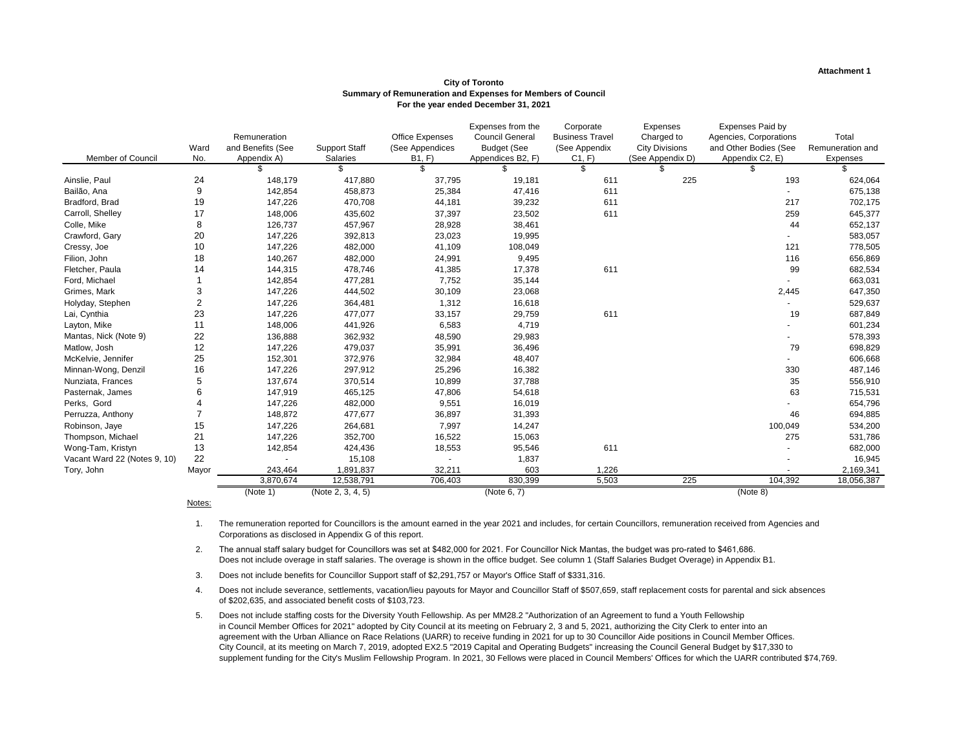|                              |                |                   |                      |                        | Expenses from the      | Corporate              | Expenses              | <b>Expenses Paid by</b> |                  |
|------------------------------|----------------|-------------------|----------------------|------------------------|------------------------|------------------------|-----------------------|-------------------------|------------------|
|                              |                | Remuneration      |                      | <b>Office Expenses</b> | <b>Council General</b> | <b>Business Travel</b> | Charged to            | Agencies, Corporations  | Total            |
|                              | Ward           | and Benefits (See | <b>Support Staff</b> | (See Appendices        | <b>Budget (See</b>     | (See Appendix          | <b>City Divisions</b> | and Other Bodies (See   | Remuneration and |
| Member of Council            | No.            | Appendix A)       | <b>Salaries</b>      | B1, F                  | Appendices B2, F)      | C1, F                  | (See Appendix D)      | Appendix C2, E)         | Expenses         |
|                              |                |                   | \$                   | \$                     |                        | \$                     | \$.                   | S.                      | \$.              |
| Ainslie, Paul                | 24             | 148,179           | 417,880              | 37,795                 | 19,181                 | 611                    | 225                   | 193                     | 624,064          |
| Bailão, Ana                  | 9              | 142,854           | 458,873              | 25,384                 | 47,416                 | 611                    |                       |                         | 675,138          |
| Bradford, Brad               | 19             | 147,226           | 470,708              | 44,181                 | 39,232                 | 611                    |                       | 217                     | 702,175          |
| Carroll, Shelley             | 17             | 148,006           | 435,602              | 37,397                 | 23,502                 | 611                    |                       | 259                     | 645,377          |
| Colle, Mike                  | 8              | 126,737           | 457,967              | 28,928                 | 38,461                 |                        |                       | 44                      | 652,137          |
| Crawford, Gary               | 20             | 147,226           | 392,813              | 23,023                 | 19,995                 |                        |                       |                         | 583,057          |
| Cressy, Joe                  | 10             | 147,226           | 482,000              | 41,109                 | 108,049                |                        |                       | 121                     | 778,505          |
| Filion, John                 | 18             | 140,267           | 482,000              | 24,991                 | 9,495                  |                        |                       | 116                     | 656,869          |
| Fletcher, Paula              | 14             | 144,315           | 478,746              | 41,385                 | 17,378                 | 611                    |                       | 99                      | 682,534          |
| Ford, Michael                |                | 142,854           | 477,281              | 7,752                  | 35,144                 |                        |                       |                         | 663,031          |
| Grimes, Mark                 | 3              | 147,226           | 444,502              | 30,109                 | 23,068                 |                        |                       | 2,445                   | 647,350          |
| Holyday, Stephen             | $\overline{2}$ | 147,226           | 364,481              | 1,312                  | 16,618                 |                        |                       |                         | 529,637          |
| Lai, Cynthia                 | 23             | 147,226           | 477,077              | 33,157                 | 29,759                 | 611                    |                       | 19                      | 687,849          |
| Layton, Mike                 | 11             | 148,006           | 441,926              | 6,583                  | 4,719                  |                        |                       |                         | 601,234          |
| Mantas, Nick (Note 9)        | 22             | 136,888           | 362,932              | 48,590                 | 29,983                 |                        |                       |                         | 578,393          |
| Matlow, Josh                 | 12             | 147,226           | 479,037              | 35,991                 | 36,496                 |                        |                       | 79                      | 698,829          |
| McKelvie, Jennifer           | 25             | 152,301           | 372,976              | 32,984                 | 48,407                 |                        |                       |                         | 606,668          |
| Minnan-Wong, Denzil          | 16             | 147,226           | 297,912              | 25,296                 | 16,382                 |                        |                       | 330                     | 487,146          |
| Nunziata, Frances            | 5              | 137,674           | 370,514              | 10,899                 | 37,788                 |                        |                       | 35                      | 556,910          |
| Pasternak, James             |                | 147,919           | 465,125              | 47,806                 | 54,618                 |                        |                       | 63                      | 715,531          |
| Perks, Gord                  |                | 147,226           | 482,000              | 9,551                  | 16,019                 |                        |                       |                         | 654,796          |
| Perruzza, Anthony            |                | 148,872           | 477,677              | 36,897                 | 31,393                 |                        |                       | 46                      | 694,885          |
| Robinson, Jaye               | 15             | 147,226           | 264,681              | 7,997                  | 14,247                 |                        |                       | 100,049                 | 534,200          |
| Thompson, Michael            | 21             | 147,226           | 352,700              | 16,522                 | 15,063                 |                        |                       | 275                     | 531,786          |
| Wong-Tam, Kristyn            | 13             | 142,854           | 424,436              | 18,553                 | 95,546                 | 611                    |                       |                         | 682,000          |
| Vacant Ward 22 (Notes 9, 10) | 22             |                   | 15,108               |                        | 1,837                  |                        |                       |                         | 16,945           |
| Tory, John                   | Mayor          | 243,464           | 1,891,837            | 32,211                 | 603                    | 1,226                  |                       |                         | 2,169,341        |
|                              |                | 3,870,674         | 12,538,791           | 706,403                | 830,399                | 5,503                  | 225                   | 104,392                 | 18,056,387       |
|                              |                | (Note 1)          | (Note 2, 3, 4, 5)    |                        | (Note 6, 7)            |                        |                       | (Note 8)                |                  |

Notes:

### **Attachment 1**

- 1. The remuneration reported for Councillors is the amount earned in the year 2021 and includes, for certain Councillors, remuneration received from Agencies and Corporations as disclosed in Appendix G of this report.
- 2. The annual staff salary budget for Councillors was set at \$482,000 for 2021. For Councillor Nick Mantas, the budget was pro-rated to \$461,686. Does not include overage in staff salaries. The overage is shown in the office budget. See column 1 (Staff Salaries Budget Overage) in Appendix B1.
- 3. Does not include benefits for Councillor Support staff of \$2,291,757 or Mayor's Office Staff of \$331,316.
- 4. Does not include severance, settlements, vacation/lieu payouts for Mayor and Councillor Staff of \$507,659, staff replacement costs for parental and sick absences of \$202,635, and associated benefit costs of \$103,723.
- 5. Does not include staffing costs for the Diversity Youth Fellowship. As per MM28.2 "Authorization of an Agreement to fund a Youth Fellowship in Council Member Offices for 2021" adopted by City Council at its meeting on February 2, 3 and 5, 2021, authorizing the City Clerk to enter into an agreement with the Urban Alliance on Race Relations (UARR) to receive funding in 2021 for up to 30 Councillor Aide positions in Council Member Offices. City Council, at its meeting on March 7, 2019, adopted EX2.5 "2019 Capital and Operating Budgets" increasing the Council General Budget by \$17,330 to supplement funding for the City's Muslim Fellowship Program. In 2021, 30 Fellows were placed in Council Members' Offices for which the UARR contributed \$74,769.

### **City of Toronto Summary of Remuneration and Expenses for Members of Council For the year ended December 31, 2021**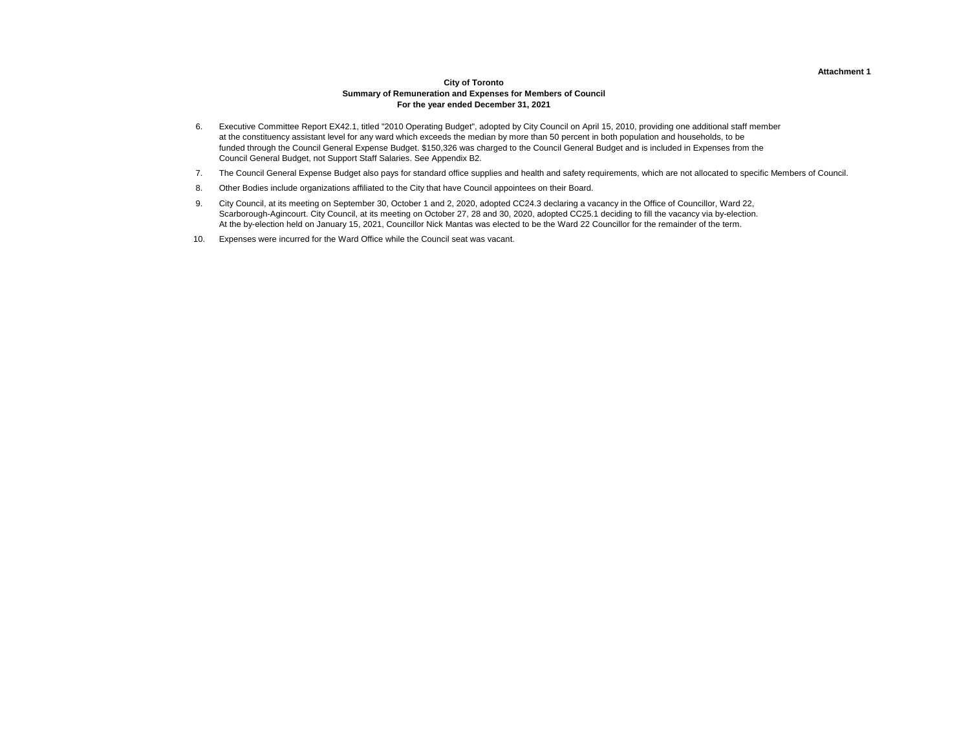### **Attachment 1**

### **City of Toronto Summary of Remuneration and Expenses for Members of Council For the year ended December 31, 2021**

- 6. Executive Committee Report EX42.1, titled "2010 Operating Budget", adopted by City Council on April 15, 2010, providing one additional staff member at the constituency assistant level for any ward which exceeds the median by more than 50 percent in both population and households, to be funded through the Council General Expense Budget. \$150,326 was charged to the Council General Budget and is included in Expenses from the Council General Budget, not Support Staff Salaries. See Appendix B2.
- 7. The Council General Expense Budget also pays for standard office supplies and health and safety requirements, which are not allocated to specific Members of Council.
- 8. Other Bodies include organizations affiliated to the City that have Council appointees on their Board.
- 9. City Council, at its meeting on September 30, October 1 and 2, 2020, adopted CC24.3 declaring a vacancy in the Office of Councillor, Ward 22, Scarborough-Agincourt. City Council, at its meeting on October 27, 28 and 30, 2020, adopted CC25.1 deciding to fill the vacancy via by-election. At the by-election held on January 15, 2021, Councillor Nick Mantas was elected to be the Ward 22 Councillor for the remainder of the term.
- 10. Expenses were incurred for the Ward Office while the Council seat was vacant.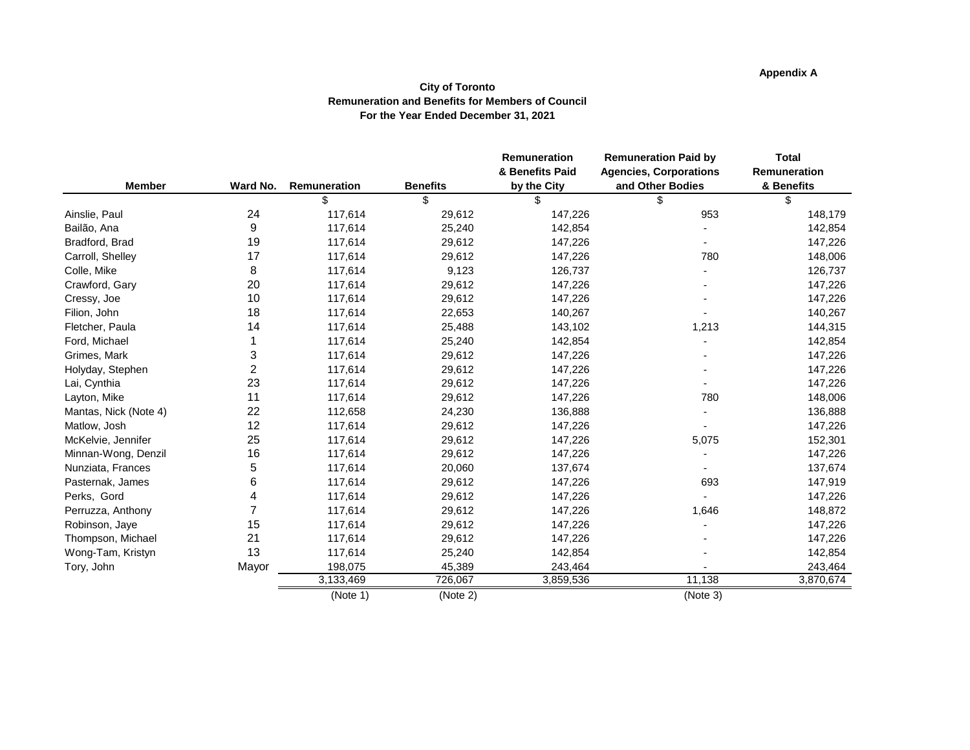# **Appendix A**

## **City of Toronto Remuneration and Benefits for Members of Council For the Year Ended December 31, 2021**

|                       |                |              |                 | Remuneration                   | <b>Remuneration Paid by</b>                       | <b>Total</b>               |
|-----------------------|----------------|--------------|-----------------|--------------------------------|---------------------------------------------------|----------------------------|
| <b>Member</b>         | Ward No.       | Remuneration | <b>Benefits</b> | & Benefits Paid<br>by the City | <b>Agencies, Corporations</b><br>and Other Bodies | Remuneration<br>& Benefits |
|                       |                | \$           | $\mathfrak{S}$  | \$                             | \$                                                | \$                         |
|                       | 24             |              |                 |                                |                                                   |                            |
| Ainslie, Paul         | 9              | 117,614      | 29,612          | 147,226                        | 953                                               | 148,179                    |
| Bailão, Ana           |                | 117,614      | 25,240          | 142,854                        |                                                   | 142,854                    |
| Bradford, Brad        | 19             | 117,614      | 29,612          | 147,226                        |                                                   | 147,226                    |
| Carroll, Shelley      | 17             | 117,614      | 29,612          | 147,226                        | 780                                               | 148,006                    |
| Colle, Mike           | 8              | 117,614      | 9,123           | 126,737                        |                                                   | 126,737                    |
| Crawford, Gary        | 20             | 117,614      | 29,612          | 147,226                        |                                                   | 147,226                    |
| Cressy, Joe           | 10             | 117,614      | 29,612          | 147,226                        |                                                   | 147,226                    |
| Filion, John          | 18             | 117,614      | 22,653          | 140,267                        |                                                   | 140,267                    |
| Fletcher, Paula       | 14             | 117,614      | 25,488          | 143,102                        | 1,213                                             | 144,315                    |
| Ford, Michael         |                | 117,614      | 25,240          | 142,854                        |                                                   | 142,854                    |
| Grimes, Mark          | 3              | 117,614      | 29,612          | 147,226                        |                                                   | 147,226                    |
| Holyday, Stephen      | $\overline{2}$ | 117,614      | 29,612          | 147,226                        |                                                   | 147,226                    |
| Lai, Cynthia          | 23             | 117,614      | 29,612          | 147,226                        |                                                   | 147,226                    |
| Layton, Mike          | 11             | 117,614      | 29,612          | 147,226                        | 780                                               | 148,006                    |
| Mantas, Nick (Note 4) | 22             | 112,658      | 24,230          | 136,888                        |                                                   | 136,888                    |
| Matlow, Josh          | 12             | 117,614      | 29,612          | 147,226                        |                                                   | 147,226                    |
| McKelvie, Jennifer    | 25             | 117,614      | 29,612          | 147,226                        | 5,075                                             | 152,301                    |
| Minnan-Wong, Denzil   | 16             | 117,614      | 29,612          | 147,226                        |                                                   | 147,226                    |
| Nunziata, Frances     | 5              | 117,614      | 20,060          | 137,674                        |                                                   | 137,674                    |
| Pasternak, James      | 6              | 117,614      | 29,612          | 147,226                        | 693                                               | 147,919                    |
| Perks, Gord           | 4              | 117,614      | 29,612          | 147,226                        |                                                   | 147,226                    |
| Perruzza, Anthony     | $\overline{7}$ | 117,614      | 29,612          | 147,226                        | 1,646                                             | 148,872                    |
| Robinson, Jaye        | 15             | 117,614      | 29,612          | 147,226                        |                                                   | 147,226                    |
| Thompson, Michael     | 21             | 117,614      | 29,612          | 147,226                        |                                                   | 147,226                    |
| Wong-Tam, Kristyn     | 13             | 117,614      | 25,240          | 142,854                        |                                                   | 142,854                    |
| Tory, John            | Mayor          | 198,075      | 45,389          | 243,464                        |                                                   | 243,464                    |
|                       |                | 3,133,469    | 726,067         | 3,859,536                      | 11,138                                            | 3,870,674                  |
|                       |                | (Note 1)     | (Note 2)        |                                | (Note 3)                                          |                            |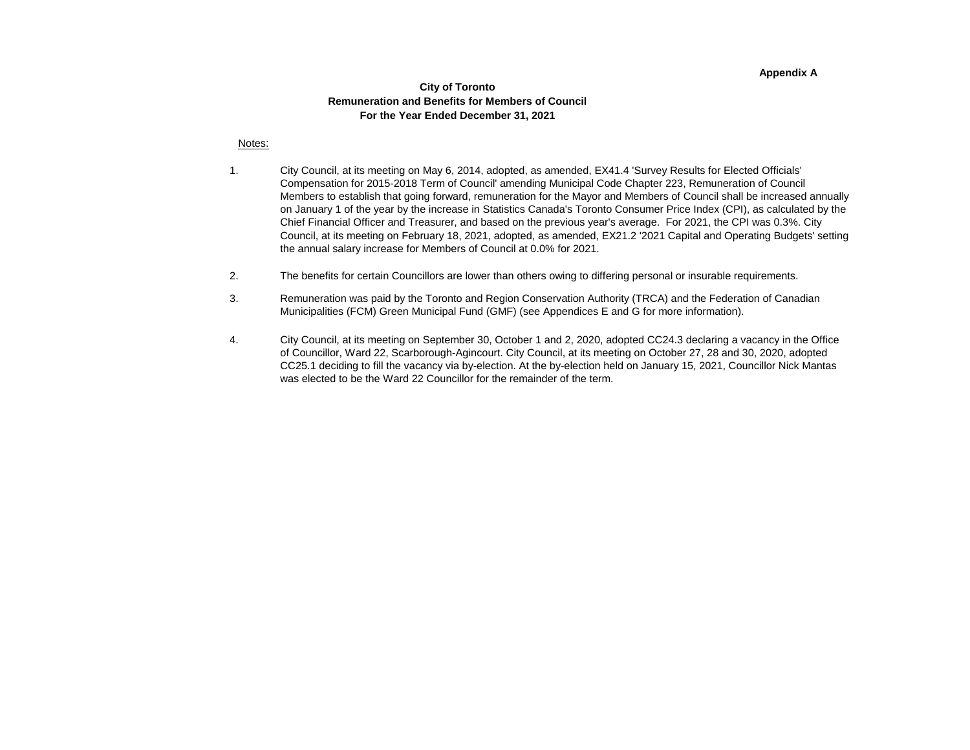#### **Appendix A**

### **City of Toronto Remuneration and Benefits for Members of Council For the Year Ended December 31, 2021**

#### Notes:

- 1. City Council, at its meeting on May 6, 2014, adopted, as amended, EX41.4 'Survey Results for Elected Officials' Compensation for 2015-2018 Term of Council' amending Municipal Code Chapter 223, Remuneration of Council Members to establish that going forward, remuneration for the Mayor and Members of Council shall be increased annually on January 1 of the year by the increase in Statistics Canada's Toronto Consumer Price Index (CPI), as calculated by the Chief Financial Officer and Treasurer, and based on the previous year's average. For 2021, the CPI was 0.3%. City Council, at its meeting on February 18, 2021, adopted, as amended, EX21.2 '2021 Capital and Operating Budgets' setting the annual salary increase for Members of Council at 0.0% for 2021.
- 2. The benefits for certain Councillors are lower than others owing to differing personal or insurable requirements.
- 3. Remuneration was paid by the Toronto and Region Conservation Authority (TRCA) and the Federation of Canadian Municipalities (FCM) Green Municipal Fund (GMF) (see Appendices E and G for more information).
- 4. City Council, at its meeting on September 30, October 1 and 2, 2020, adopted CC24.3 declaring a vacancy in the Office of Councillor, Ward 22, Scarborough-Agincourt. City Council, at its meeting on October 27, 28 and 30, 2020, adopted CC25.1 deciding to fill the vacancy via by-election. At the by-election held on January 15, 2021, Councillor Nick Mantas was elected to be the Ward 22 Councillor for the remainder of the term.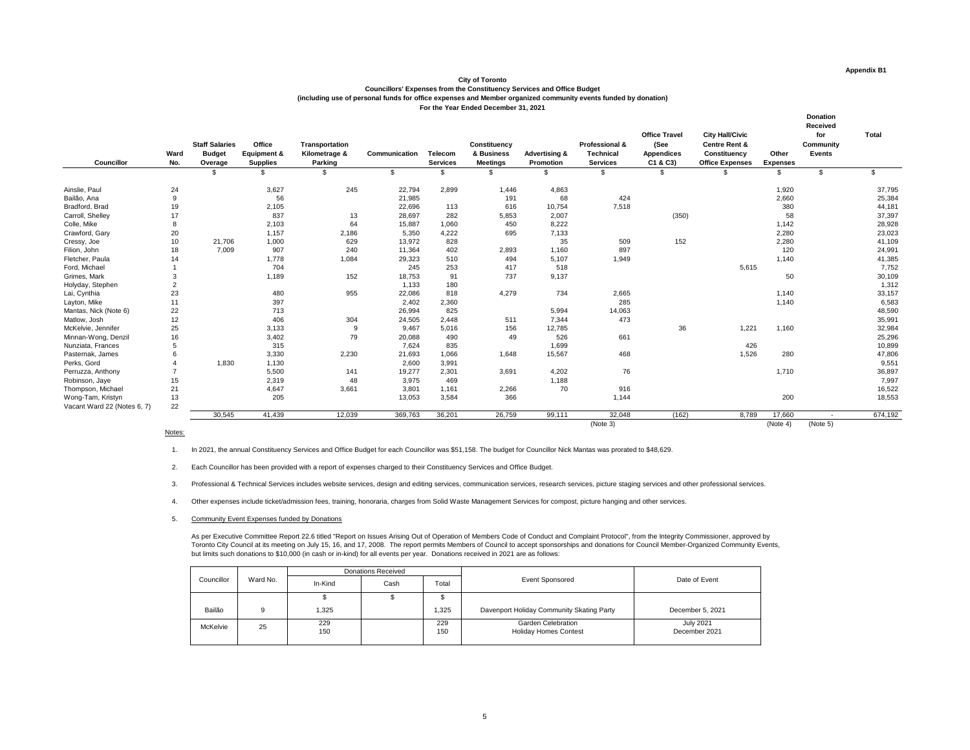### **City of Toronto**

| <b>Councillor</b>           | Ward<br>No.     | <b>Staff Salaries</b><br><b>Budget</b><br>Overage | <b>Office</b><br><b>Equipment &amp;</b><br><b>Supplies</b> | <b>Transportation</b><br>Kilometrage &<br><b>Parking</b> | <b>Communication</b> | <b>Telecom</b><br><b>Services</b> | <b>Constituency</b><br>& Business<br><b>Meetings</b> | <b>Advertising &amp;</b><br><b>Promotion</b> | <b>Professional &amp;</b><br><b>Technical</b><br><b>Services</b> | <b>Office Travel</b><br>(See<br><b>Appendices</b><br>C1 & C3 | <b>City Hall/Civic</b><br><b>Centre Rent &amp;</b><br><b>Constituency</b><br><b>Office Expenses</b> | Other<br><b>Expenses</b> | <b>Donation</b><br><b>Received</b><br>for<br><b>Community</b><br><b>Events</b> | <b>Total</b> |
|-----------------------------|-----------------|---------------------------------------------------|------------------------------------------------------------|----------------------------------------------------------|----------------------|-----------------------------------|------------------------------------------------------|----------------------------------------------|------------------------------------------------------------------|--------------------------------------------------------------|-----------------------------------------------------------------------------------------------------|--------------------------|--------------------------------------------------------------------------------|--------------|
|                             |                 | \$                                                |                                                            | \$                                                       | $\mathfrak{S}$       |                                   | \$.                                                  | \$                                           | \$                                                               | $\mathbb{S}$                                                 |                                                                                                     | \$                       | $\mathfrak{S}$                                                                 | \$           |
| Ainslie, Paul               | 24              |                                                   | 3,627                                                      | 245                                                      | 22,794               | 2,899                             | 1,446                                                | 4,863                                        |                                                                  |                                                              |                                                                                                     | 1,920                    |                                                                                | 37,795       |
| Bailão, Ana                 | 9               |                                                   | 56                                                         |                                                          | 21,985               |                                   | 191                                                  | 68                                           | 424                                                              |                                                              |                                                                                                     | 2,660                    |                                                                                | 25,384       |
| Bradford, Brad              | 19              |                                                   | 2,105                                                      |                                                          | 22,696               | 113                               | 616                                                  | 10,754                                       | 7,518                                                            |                                                              |                                                                                                     | 380                      |                                                                                | 44,181       |
| Carroll, Shelley            | 17              |                                                   | 837                                                        | 13                                                       | 28,697               | 282                               | 5,853                                                | 2,007                                        |                                                                  | (350)                                                        |                                                                                                     | 58                       |                                                                                | 37,397       |
| Colle, Mike                 | 8               |                                                   | 2,103                                                      | 64                                                       | 15,887               | 1,060                             | 450                                                  | 8,222                                        |                                                                  |                                                              |                                                                                                     | 1,142                    |                                                                                | 28,928       |
| Crawford, Gary              | 20              |                                                   | 1,157                                                      | 2,186                                                    | 5,350                | 4,222                             | 695                                                  | 7,133                                        |                                                                  |                                                              |                                                                                                     | 2,280                    |                                                                                | 23,023       |
| Cressy, Joe                 | 10 <sup>°</sup> | 21,706                                            | 1,000                                                      | 629                                                      | 13,972               | 828                               |                                                      | 35                                           | 509                                                              | 152                                                          |                                                                                                     | 2,280                    |                                                                                | 41,109       |
| Filion, John                | 18              | 7,009                                             | 907                                                        | 240                                                      | 11,364               | 402                               | 2,893                                                | 1,160                                        | 897                                                              |                                                              |                                                                                                     | 120                      |                                                                                | 24,991       |
| Fletcher, Paula             | 14              |                                                   | 1,778                                                      | 1,084                                                    | 29,323               | 510                               | 494                                                  | 5,107                                        | 1,949                                                            |                                                              |                                                                                                     | 1,140                    |                                                                                | 41,385       |
| Ford, Michael               |                 |                                                   | 704                                                        |                                                          | 245                  | 253                               | 417                                                  | 518                                          |                                                                  |                                                              | 5,615                                                                                               |                          |                                                                                | 7,752        |
| Grimes, Mark                | 3               |                                                   | 1,189                                                      | 152                                                      | 18,753               | 91                                | 737                                                  | 9,137                                        |                                                                  |                                                              |                                                                                                     | 50                       |                                                                                | 30,109       |
| Holyday, Stephen            | 2               |                                                   |                                                            |                                                          | 1,133                | 180                               |                                                      |                                              |                                                                  |                                                              |                                                                                                     |                          |                                                                                | 1,312        |
| Lai, Cynthia                | 23              |                                                   | 480                                                        | 955                                                      | 22,086               | 818                               | 4,279                                                | 734                                          | 2,665                                                            |                                                              |                                                                                                     | 1,140                    |                                                                                | 33,157       |
| Layton, Mike                | 11              |                                                   | 397                                                        |                                                          | 2,402                | 2,360                             |                                                      |                                              | 285                                                              |                                                              |                                                                                                     | 1,140                    |                                                                                | 6,583        |
| Mantas, Nick (Note 6)       | 22              |                                                   | 713                                                        |                                                          | 26,994               | 825                               |                                                      | 5,994                                        | 14,063                                                           |                                                              |                                                                                                     |                          |                                                                                | 48,590       |
| Matlow, Josh                | 12              |                                                   | 406                                                        | 304                                                      | 24,505               | 2,448                             | 511                                                  | 7,344                                        | 473                                                              |                                                              |                                                                                                     |                          |                                                                                | 35,991       |
| McKelvie, Jennifer          | 25              |                                                   | 3,133                                                      | -9                                                       | 9,467                | 5,016                             | 156                                                  | 12,785                                       |                                                                  | 36                                                           | 1,221                                                                                               | 1,160                    |                                                                                | 32,984       |
| Minnan-Wong, Denzil         | 16              |                                                   | 3,402                                                      | 79                                                       | 20,088               | 490                               | 49                                                   | 526                                          | 661                                                              |                                                              |                                                                                                     |                          |                                                                                | 25,296       |
| Nunziata, Frances           | 5               |                                                   | 315                                                        |                                                          | 7,624                | 835                               |                                                      | 1,699                                        |                                                                  |                                                              | 426                                                                                                 |                          |                                                                                | 10,899       |
| Pasternak, James            |                 |                                                   | 3,330                                                      | 2,230                                                    | 21,693               | 1,066                             | 1,648                                                | 15,567                                       | 468                                                              |                                                              | 1,526                                                                                               | 280                      |                                                                                | 47,806       |
| Perks, Gord                 |                 | 1,830                                             | 1,130                                                      |                                                          | 2,600                | 3,991                             |                                                      |                                              |                                                                  |                                                              |                                                                                                     |                          |                                                                                | 9,551        |
| Perruzza, Anthony           |                 |                                                   | 5,500                                                      | 141                                                      | 19,277               | 2,301                             | 3,691                                                | 4,202                                        | 76                                                               |                                                              |                                                                                                     | 1,710                    |                                                                                | 36,897       |
| Robinson, Jaye              | 15              |                                                   | 2,319                                                      | 48                                                       | 3,975                | 469                               |                                                      | 1,188                                        |                                                                  |                                                              |                                                                                                     |                          |                                                                                | 7,997        |
| Thompson, Michael           | 21              |                                                   | 4,647                                                      | 3,661                                                    | 3,801                | 1,161                             | 2,266                                                | 70                                           | 916                                                              |                                                              |                                                                                                     |                          |                                                                                | 16,522       |
| Wong-Tam, Kristyn           | 13              |                                                   | 205                                                        |                                                          | 13,053               | 3,584                             | 366                                                  |                                              | 1,144                                                            |                                                              |                                                                                                     | 200                      |                                                                                | 18,553       |
| Vacant Ward 22 (Notes 6, 7) | 22              |                                                   |                                                            |                                                          |                      |                                   |                                                      |                                              |                                                                  |                                                              |                                                                                                     |                          |                                                                                |              |
|                             |                 | 30,545                                            | 41,439                                                     | 12,039                                                   | 369,763              | 36,201                            | 26,759                                               | 99,111                                       | 32,048                                                           | (162)                                                        | 8,789                                                                                               | 17,660                   | $\sim$                                                                         | 674,192      |
|                             |                 |                                                   |                                                            |                                                          |                      |                                   |                                                      |                                              | (Note 3)                                                         |                                                              |                                                                                                     | (Note 4)                 | (Note 5)                                                                       |              |

### Notes:

As per Executive Committee Report 22.6 titled "Report on Issues Arising Out of Operation of Members Code of Conduct and Complaint Protocol", from the Integrity Commissioner, approved by Toronto City Council at its meeting on July 15, 16, and 17, 2008. The report permits Members of Council to accept sponsorships and donations for Council Member-Organized Community Events, but limits such donations to \$10,000 (in cash or in-kind) for all events per year. Donations received in 2021 are as follows:

**Councillors' Expenses from the Constituency Services and Office Budget (including use of personal funds for office expenses and Member organized community events funded by donation) For the Year Ended December 31, 2021**

1. In 2021, the annual Constituency Services and Office Budget for each Councillor was \$51,158. The budget for Councillor Nick Mantas was prorated to \$48,629.

2. Each Councillor has been provided with a report of expenses charged to their Constituency Services and Office Budget.

3. Professional & Technical Services includes website services, design and editing services, communication services, research services, picture staging services and other professional services.

4. Other expenses include ticket/admission fees, training, honoraria, charges from Solid Waste Management Services for compost, picture hanging and other services.

5. Community Event Expenses funded by Donations

|            |          |            | <b>Donations Received</b> |            |                                                           | Date of Event                     |  |
|------------|----------|------------|---------------------------|------------|-----------------------------------------------------------|-----------------------------------|--|
| Councillor | Ward No. | In-Kind    | Cash                      | Total      | <b>Event Sponsored</b>                                    |                                   |  |
|            |          |            |                           |            |                                                           |                                   |  |
| Bailão     |          | ,325       |                           | 325        | Davenport Holiday Community Skating Party                 | December 5, 2021                  |  |
| McKelvie   | 25       | 229<br>150 |                           | 229<br>150 | <b>Garden Celebration</b><br><b>Holiday Homes Contest</b> | <b>July 2021</b><br>December 2021 |  |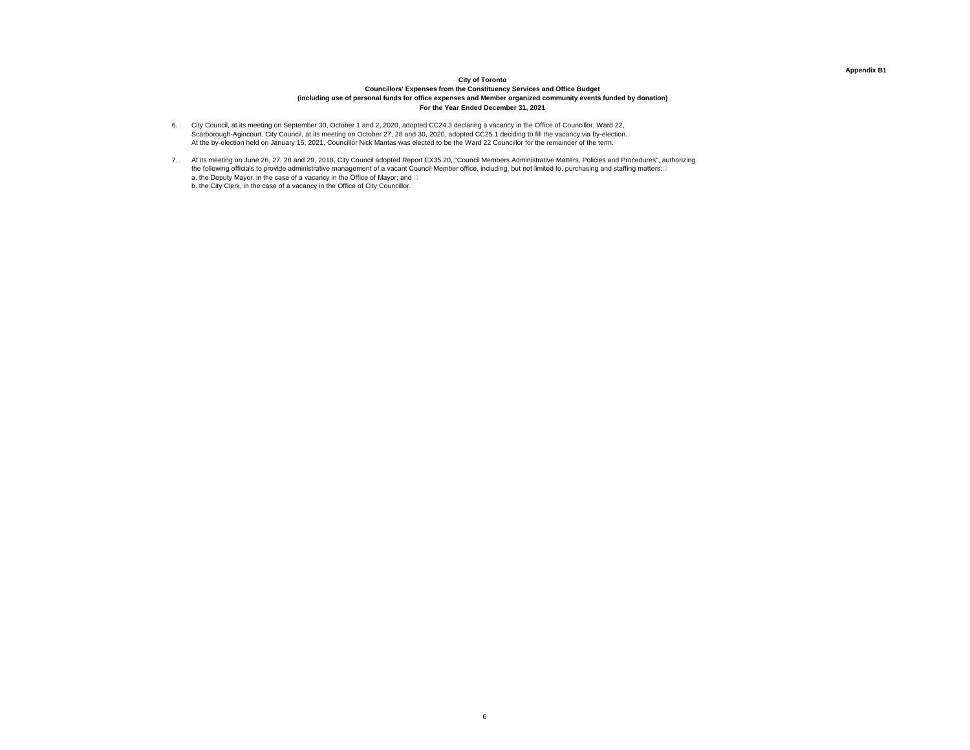### **Appendix B1**

# **City of Toronto Councillors' Expenses from the Constituency Services and Office Budget (including use of personal funds for office expenses and Member organized community events funded by donation) For the Year Ended December 31, 2021**

- 6. City Council, at its meeting on September 30, October 1 and 2, 2020, adopted CC24.3 declaring a vacancy in the Office of Councillor, Ward 22, Scarborough-Agincourt. City Council, at its meeting on October 27, 28 and 30, 2020, adopted CC25.1 deciding to fill the vacancy via by-election. At the by-election held on January 15, 2021, Councillor Nick Mantas was elected to be the Ward 22 Councillor for the remainder of the term.
- 7. At its meeting on June 26, 27, 28 and 29, 2018, City Council adopted Report EX35.20, "Council Members Administrative Matters, Policies and Procedures", authorizing the following officials to provide administrative management of a vacant Council Member office, including, but not limited to, purchasing and staffing matters:⊡ a. the Deputy Mayor, in the case of a vacancy in the Office of Mayor; and  $\Box$ b. the City Clerk, in the case of a vacancy in the Office of City Councillor.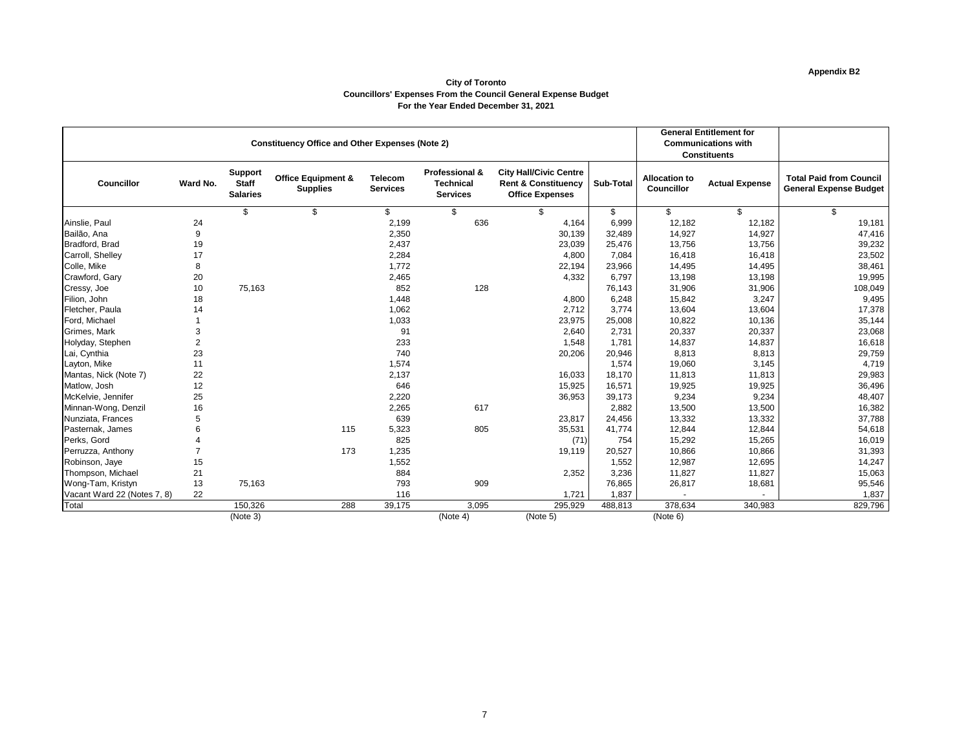# **Appendix B2**

### **City of Toronto Councillors' Expenses From the Council General Expense Budget For the Year Ended December 31, 2021**

|                             |                | <b>Constituency Office and Other Expenses (Note 2)</b> |                                                  | <b>General Entitlement for</b><br><b>Communications with</b><br><b>Constituents</b> |                                                                  |                                                                                           |                  |                                           |                       |                                                                 |
|-----------------------------|----------------|--------------------------------------------------------|--------------------------------------------------|-------------------------------------------------------------------------------------|------------------------------------------------------------------|-------------------------------------------------------------------------------------------|------------------|-------------------------------------------|-----------------------|-----------------------------------------------------------------|
| <b>Councillor</b>           | Ward No.       | <b>Support</b><br><b>Staff</b><br><b>Salaries</b>      | <b>Office Equipment &amp;</b><br><b>Supplies</b> | <b>Telecom</b><br><b>Services</b>                                                   | <b>Professional &amp;</b><br><b>Technical</b><br><b>Services</b> | <b>City Hall/Civic Centre</b><br><b>Rent &amp; Constituency</b><br><b>Office Expenses</b> | <b>Sub-Total</b> | <b>Allocation to</b><br><b>Councillor</b> | <b>Actual Expense</b> | <b>Total Paid from Council</b><br><b>General Expense Budget</b> |
|                             |                | $\mathfrak{S}$                                         | \$                                               | \$                                                                                  | \$                                                               | $\mathfrak{S}$                                                                            | \$               | \$                                        | $\mathfrak{S}$        | \$                                                              |
| Ainslie, Paul               | 24             |                                                        |                                                  | 2,199                                                                               | 636                                                              | 4,164                                                                                     | 6,999            | 12,182                                    | 12,182                | 19,181                                                          |
| Bailão, Ana                 | $9\,$          |                                                        |                                                  | 2,350                                                                               |                                                                  | 30,139                                                                                    | 32,489           | 14,927                                    | 14,927                | 47,416                                                          |
| Bradford, Brad              | 19             |                                                        |                                                  | 2,437                                                                               |                                                                  | 23,039                                                                                    | 25,476           | 13,756                                    | 13,756                | 39,232                                                          |
| Carroll, Shelley            | 17             |                                                        |                                                  | 2,284                                                                               |                                                                  | 4,800                                                                                     | 7,084            | 16,418                                    | 16,418                | 23,502                                                          |
| Colle, Mike                 | 8              |                                                        |                                                  | 1,772                                                                               |                                                                  | 22,194                                                                                    | 23,966           | 14,495                                    | 14,495                | 38,461                                                          |
| Crawford, Gary              | 20             |                                                        |                                                  | 2,465                                                                               |                                                                  | 4,332                                                                                     | 6,797            | 13,198                                    | 13,198                | 19,995                                                          |
| Cressy, Joe                 | 10             | 75,163                                                 |                                                  | 852                                                                                 | 128                                                              |                                                                                           | 76,143           | 31,906                                    | 31,906                | 108,049                                                         |
| Filion, John                | 18             |                                                        |                                                  | 1,448                                                                               |                                                                  | 4,800                                                                                     | 6,248            | 15,842                                    | 3,247                 | 9,495                                                           |
| Fletcher, Paula             | 14             |                                                        |                                                  | 1,062                                                                               |                                                                  | 2,712                                                                                     | 3,774            | 13,604                                    | 13,604                | 17,378                                                          |
| Ford, Michael               |                |                                                        |                                                  | 1,033                                                                               |                                                                  | 23,975                                                                                    | 25,008           | 10,822                                    | 10,136                | 35,144                                                          |
| Grimes, Mark                | 3              |                                                        |                                                  | 91                                                                                  |                                                                  | 2,640                                                                                     | 2,731            | 20,337                                    | 20,337                | 23,068                                                          |
| Holyday, Stephen            | $\overline{2}$ |                                                        |                                                  | 233                                                                                 |                                                                  | 1,548                                                                                     | 1,781            | 14,837                                    | 14,837                | 16,618                                                          |
| Lai, Cynthia                | 23             |                                                        |                                                  | 740                                                                                 |                                                                  | 20,206                                                                                    | 20,946           | 8,813                                     | 8,813                 | 29,759                                                          |
| Layton, Mike                | 11             |                                                        |                                                  | 1,574                                                                               |                                                                  |                                                                                           | 1,574            | 19,060                                    | 3,145                 | 4,719                                                           |
| Mantas, Nick (Note 7)       | 22             |                                                        |                                                  | 2,137                                                                               |                                                                  | 16,033                                                                                    | 18,170           | 11,813                                    | 11,813                | 29,983                                                          |
| Matlow, Josh                | 12             |                                                        |                                                  | 646                                                                                 |                                                                  | 15,925                                                                                    | 16,571           | 19,925                                    | 19,925                | 36,496                                                          |
| McKelvie, Jennifer          | 25             |                                                        |                                                  | 2,220                                                                               |                                                                  | 36,953                                                                                    | 39,173           | 9,234                                     | 9,234                 | 48,407                                                          |
| Minnan-Wong, Denzil         | 16             |                                                        |                                                  | 2,265                                                                               | 617                                                              |                                                                                           | 2,882            | 13,500                                    | 13,500                | 16,382                                                          |
| Nunziata, Frances           | 5              |                                                        |                                                  | 639                                                                                 |                                                                  | 23,817                                                                                    | 24,456           | 13,332                                    | 13,332                | 37,788                                                          |
| Pasternak, James            |                |                                                        | 115                                              | 5,323                                                                               | 805                                                              | 35,531                                                                                    | 41,774           | 12,844                                    | 12,844                | 54,618                                                          |
| Perks, Gord                 |                |                                                        |                                                  | 825                                                                                 |                                                                  | (71)                                                                                      | 754              | 15,292                                    | 15,265                | 16,019                                                          |
| Perruzza, Anthony           |                |                                                        | 173                                              | 1,235                                                                               |                                                                  | 19,119                                                                                    | 20,527           | 10,866                                    | 10,866                | 31,393                                                          |
| Robinson, Jaye              | 15             |                                                        |                                                  | 1,552                                                                               |                                                                  |                                                                                           | 1,552            | 12,987                                    | 12,695                | 14,247                                                          |
| Thompson, Michael           | 21             |                                                        |                                                  | 884                                                                                 |                                                                  | 2,352                                                                                     | 3,236            | 11,827                                    | 11,827                | 15,063                                                          |
| Wong-Tam, Kristyn           | 13             | 75,163                                                 |                                                  | 793                                                                                 | 909                                                              |                                                                                           | 76,865           | 26,817                                    | 18,681                | 95,546                                                          |
| Vacant Ward 22 (Notes 7, 8) | 22             |                                                        |                                                  | 116                                                                                 |                                                                  | 1,721                                                                                     | 1,837            |                                           |                       | 1,837                                                           |
| <b>Total</b>                |                | 150,326                                                | 288                                              | 39,175                                                                              | 3,095                                                            | 295,929                                                                                   | 488,813          | 378,634                                   | 340,983               | 829,796                                                         |
|                             |                | (Note 3)                                               |                                                  |                                                                                     | (Note 4)                                                         | (Note 5)                                                                                  |                  | (Note 6)                                  |                       |                                                                 |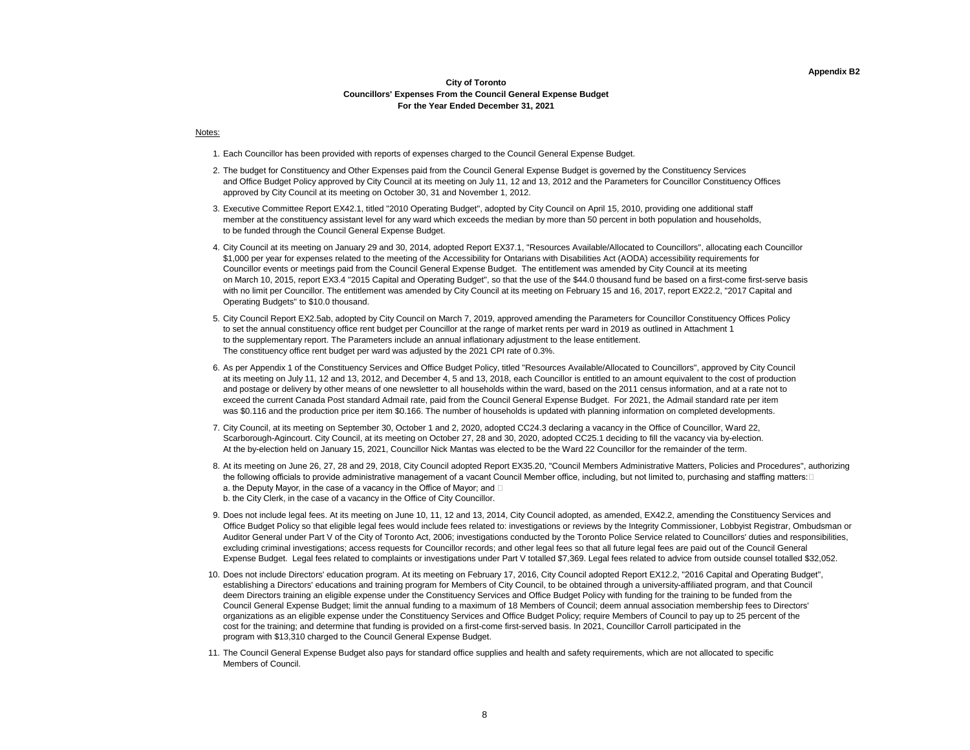#### **Appendix B2**

### **City of Toronto Councillors' Expenses From the Council General Expense Budget For the Year Ended December 31, 2021**

#### Notes:

- 1. Each Councillor has been provided with reports of expenses charged to the Council General Expense Budget.
- 2. The budget for Constituency and Other Expenses paid from the Council General Expense Budget is governed by the Constituency Services and Office Budget Policy approved by City Council at its meeting on July 11, 12 and 13, 2012 and the Parameters for Councillor Constituency Offices approved by City Council at its meeting on October 30, 31 and November 1, 2012.
- 3. Executive Committee Report EX42.1, titled "2010 Operating Budget", adopted by City Council on April 15, 2010, providing one additional staff member at the constituency assistant level for any ward which exceeds the median by more than 50 percent in both population and households, to be funded through the Council General Expense Budget.
- 4. City Council at its meeting on January 29 and 30, 2014, adopted Report EX37.1, "Resources Available/Allocated to Councillors", allocating each Councillor \$1,000 per year for expenses related to the meeting of the Accessibility for Ontarians with Disabilities Act (AODA) accessibility requirements for Councillor events or meetings paid from the Council General Expense Budget. The entitlement was amended by City Council at its meeting on March 10, 2015, report EX3.4 "2015 Capital and Operating Budget", so that the use of the \$44.0 thousand fund be based on a first-come first-serve basis with no limit per Councillor. The entitlement was amended by City Council at its meeting on February 15 and 16, 2017, report EX22.2, "2017 Capital and Operating Budgets" to \$10.0 thousand.
- 5. City Council Report EX2.5ab, adopted by City Council on March 7, 2019, approved amending the Parameters for Councillor Constituency Offices Policy to set the annual constituency office rent budget per Councillor at the range of market rents per ward in 2019 as outlined in Attachment 1 to the supplementary report. The Parameters include an annual inflationary adjustment to the lease entitlement. The constituency office rent budget per ward was adjusted by the 2021 CPI rate of 0.3%.
- 6. As per Appendix 1 of the Constituency Services and Office Budget Policy, titled "Resources Available/Allocated to Councillors", approved by City Council at its meeting on July 11, 12 and 13, 2012, and December 4, 5 and 13, 2018, each Councillor is entitled to an amount equivalent to the cost of production and postage or delivery by other means of one newsletter to all households within the ward, based on the 2011 census information, and at a rate not to exceed the current Canada Post standard Admail rate, paid from the Council General Expense Budget. For 2021, the Admail standard rate per item was \$0.116 and the production price per item \$0.166. The number of households is updated with planning information on completed developments.
- 7. City Council, at its meeting on September 30, October 1 and 2, 2020, adopted CC24.3 declaring a vacancy in the Office of Councillor, Ward 22, Scarborough-Agincourt. City Council, at its meeting on October 27, 28 and 30, 2020, adopted CC25.1 deciding to fill the vacancy via by-election. At the by-election held on January 15, 2021, Councillor Nick Mantas was elected to be the Ward 22 Councillor for the remainder of the term.
- 8. At its meeting on June 26, 27, 28 and 29, 2018, City Council adopted Report EX35.20, "Council Members Administrative Matters, Policies and Procedures", authorizing the following officials to provide administrative management of a vacant Council Member office, including, but not limited to, purchasing and staffing matters:⊡ a. the Deputy Mayor, in the case of a vacancy in the Office of Mayor; and  $\Box$
- b. the City Clerk, in the case of a vacancy in the Office of City Councillor.
- 9. Does not include legal fees. At its meeting on June 10, 11, 12 and 13, 2014, City Council adopted, as amended, EX42.2, amending the Constituency Services and Office Budget Policy so that eligible legal fees would include fees related to: investigations or reviews by the Integrity Commissioner, Lobbyist Registrar, Ombudsman or Auditor General under Part V of the City of Toronto Act, 2006; investigations conducted by the Toronto Police Service related to Councillors' duties and responsibilities, excluding criminal investigations; access requests for Councillor records; and other legal fees so that all future legal fees are paid out of the Council General Expense Budget. Legal fees related to complaints or investigations under Part V totalled \$7,369. Legal fees related to advice from outside counsel totalled \$32,052.
- 10. Does not include Directors' education program. At its meeting on February 17, 2016, City Council adopted Report EX12.2, "2016 Capital and Operating Budget", establishing a Directors' educations and training program for Members of City Council, to be obtained through a university-affiliated program, and that Council deem Directors training an eligible expense under the Constituency Services and Office Budget Policy with funding for the training to be funded from the Council General Expense Budget; limit the annual funding to a maximum of 18 Members of Council; deem annual association membership fees to Directors' organizations as an eligible expense under the Constituency Services and Office Budget Policy; require Members of Council to pay up to 25 percent of the cost for the training; and determine that funding is provided on a first-come first-served basis. In 2021, Councillor Carroll participated in the program with \$13,310 charged to the Council General Expense Budget.
- 11. The Council General Expense Budget also pays for standard office supplies and health and safety requirements, which are not allocated to specific Members of Council.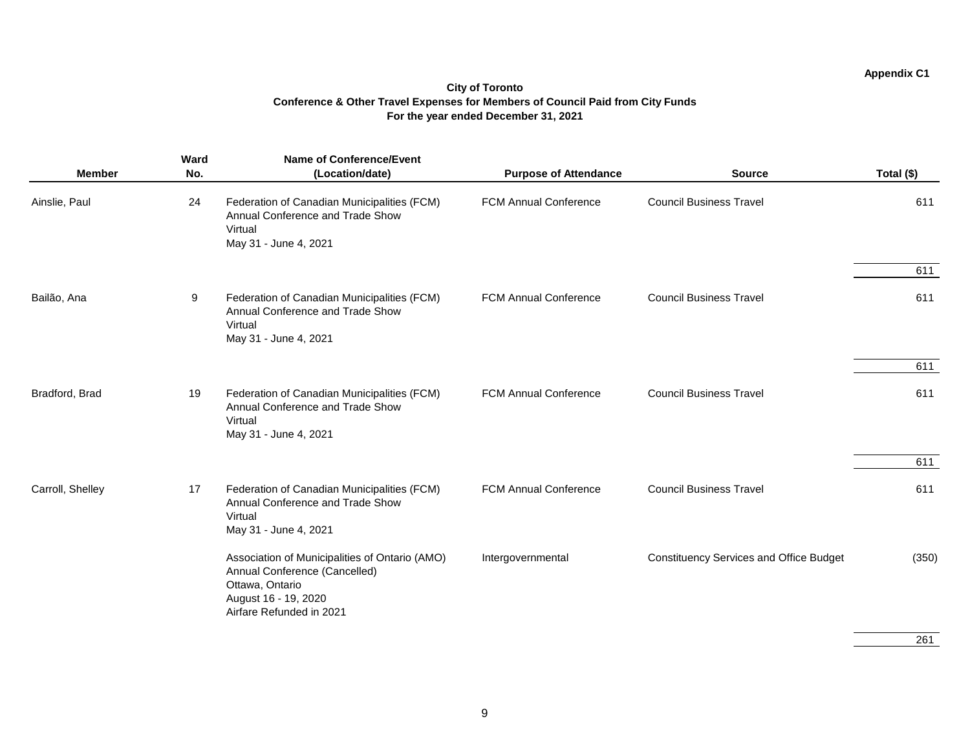### **Appendix C1**

### **City of Toronto Conference & Other Travel Expenses for Members of Council Paid from City Funds For the year ended December 31, 2021**

|                  | Ward | <b>Name of Conference/Event</b>                                                                                                                        |                              |                                                |            |
|------------------|------|--------------------------------------------------------------------------------------------------------------------------------------------------------|------------------------------|------------------------------------------------|------------|
| <b>Member</b>    | No.  | (Location/date)                                                                                                                                        | <b>Purpose of Attendance</b> | <b>Source</b>                                  | Total (\$) |
| Ainslie, Paul    | 24   | Federation of Canadian Municipalities (FCM)<br>Annual Conference and Trade Show<br>Virtual<br>May 31 - June 4, 2021                                    | <b>FCM Annual Conference</b> | <b>Council Business Travel</b>                 | 611        |
|                  |      |                                                                                                                                                        |                              |                                                | 611        |
| Bailão, Ana      | 9    | Federation of Canadian Municipalities (FCM)<br>Annual Conference and Trade Show<br>Virtual<br>May 31 - June 4, 2021                                    | <b>FCM Annual Conference</b> | <b>Council Business Travel</b>                 | 611        |
|                  |      |                                                                                                                                                        |                              |                                                | 611        |
| Bradford, Brad   | 19   | Federation of Canadian Municipalities (FCM)<br>Annual Conference and Trade Show<br>Virtual<br>May 31 - June 4, 2021                                    | <b>FCM Annual Conference</b> | <b>Council Business Travel</b>                 | 611        |
|                  |      |                                                                                                                                                        |                              |                                                | 611        |
| Carroll, Shelley | 17   | Federation of Canadian Municipalities (FCM)<br>Annual Conference and Trade Show<br>Virtual<br>May 31 - June 4, 2021                                    | <b>FCM Annual Conference</b> | <b>Council Business Travel</b>                 | 611        |
|                  |      | Association of Municipalities of Ontario (AMO)<br>Annual Conference (Cancelled)<br>Ottawa, Ontario<br>August 16 - 19, 2020<br>Airfare Refunded in 2021 | Intergovernmental            | <b>Constituency Services and Office Budget</b> | (350)      |

261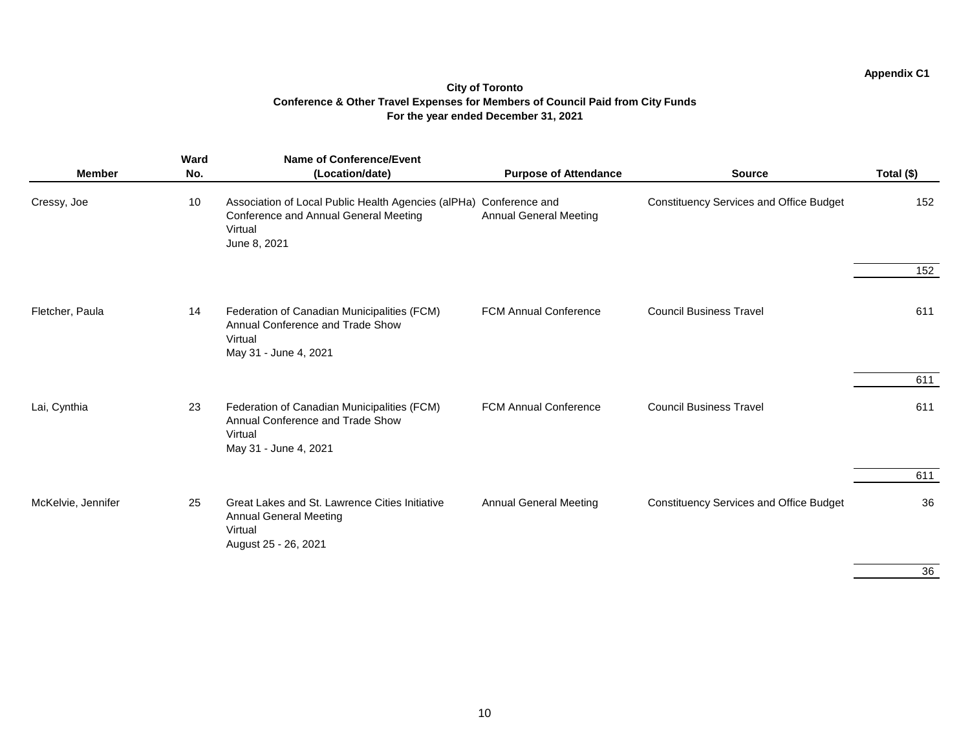### **Appendix C1**

### **City of Toronto Conference & Other Travel Expenses for Members of Council Paid from City Funds For the year ended December 31, 2021**

| <b>Member</b>      | <b>Ward</b><br>No. | <b>Name of Conference/Event</b><br>(Location/date)                                                                                            | <b>Purpose of Attendance</b>  | <b>Source</b>                                  | Total (\$) |
|--------------------|--------------------|-----------------------------------------------------------------------------------------------------------------------------------------------|-------------------------------|------------------------------------------------|------------|
| Cressy, Joe        | 10                 | Association of Local Public Health Agencies (alPHa) Conference and<br><b>Conference and Annual General Meeting</b><br>Virtual<br>June 8, 2021 | <b>Annual General Meeting</b> | <b>Constituency Services and Office Budget</b> | 152        |
|                    |                    |                                                                                                                                               |                               |                                                | 152        |
| Fletcher, Paula    | 14                 | Federation of Canadian Municipalities (FCM)<br>Annual Conference and Trade Show<br>Virtual<br>May 31 - June 4, 2021                           | <b>FCM Annual Conference</b>  | <b>Council Business Travel</b>                 | 611        |
|                    |                    |                                                                                                                                               |                               |                                                | 611        |
| Lai, Cynthia       | 23                 | Federation of Canadian Municipalities (FCM)<br>Annual Conference and Trade Show<br>Virtual<br>May 31 - June 4, 2021                           | <b>FCM Annual Conference</b>  | <b>Council Business Travel</b>                 | 611        |
|                    |                    |                                                                                                                                               |                               |                                                | 611        |
| McKelvie, Jennifer | 25                 | Great Lakes and St. Lawrence Cities Initiative<br><b>Annual General Meeting</b><br>Virtual<br>August 25 - 26, 2021                            | <b>Annual General Meeting</b> | <b>Constituency Services and Office Budget</b> | 36         |
|                    |                    |                                                                                                                                               |                               |                                                | $\sim$     |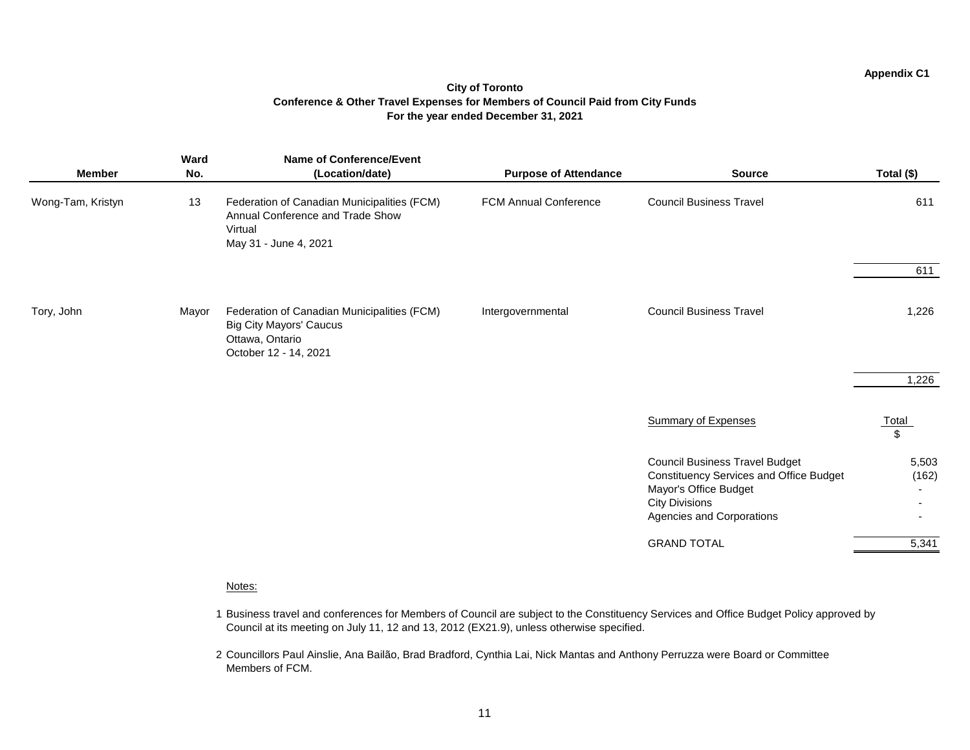### **Appendix C1**

### **City of Toronto Conference & Other Travel Expenses for Members of Council Paid from City Funds For the year ended December 31, 2021**

| <b>Member</b>     | Ward<br>No. | <b>Name of Conference/Event</b><br>(Location/date)                                                                        | <b>Purpose of Attendance</b> | <b>Source</b>                                                                                                                                                                 | Total (\$)                                                   |
|-------------------|-------------|---------------------------------------------------------------------------------------------------------------------------|------------------------------|-------------------------------------------------------------------------------------------------------------------------------------------------------------------------------|--------------------------------------------------------------|
| Wong-Tam, Kristyn | 13          | Federation of Canadian Municipalities (FCM)<br>Annual Conference and Trade Show<br>Virtual<br>May 31 - June 4, 2021       | <b>FCM Annual Conference</b> | <b>Council Business Travel</b>                                                                                                                                                | 611                                                          |
|                   |             |                                                                                                                           |                              |                                                                                                                                                                               | 611                                                          |
| Tory, John        | Mayor       | Federation of Canadian Municipalities (FCM)<br><b>Big City Mayors' Caucus</b><br>Ottawa, Ontario<br>October 12 - 14, 2021 | Intergovernmental            | <b>Council Business Travel</b>                                                                                                                                                | 1,226                                                        |
|                   |             |                                                                                                                           |                              |                                                                                                                                                                               | 1,226                                                        |
|                   |             |                                                                                                                           |                              | <b>Summary of Expenses</b>                                                                                                                                                    | <u>Total</u><br>$\sqrt[6]{\frac{1}{2}}$                      |
|                   |             |                                                                                                                           |                              | <b>Council Business Travel Budget</b><br><b>Constituency Services and Office Budget</b><br>Mayor's Office Budget<br><b>City Divisions</b><br><b>Agencies and Corporations</b> | 5,503<br>(162)<br>$\sim$<br>$\blacksquare$<br>$\blacksquare$ |
|                   |             |                                                                                                                           |                              | <b>GRAND TOTAL</b>                                                                                                                                                            | 5,341                                                        |

### Notes:

- 1 Business travel and conferences for Members of Council are subject to the Constituency Services and Office Budget Policy approved by Council at its meeting on July 11, 12 and 13, 2012 (EX21.9), unless otherwise specified.
- 2 Councillors Paul Ainslie, Ana Bailão, Brad Bradford, Cynthia Lai, Nick Mantas and Anthony Perruzza were Board or Committee Members of FCM.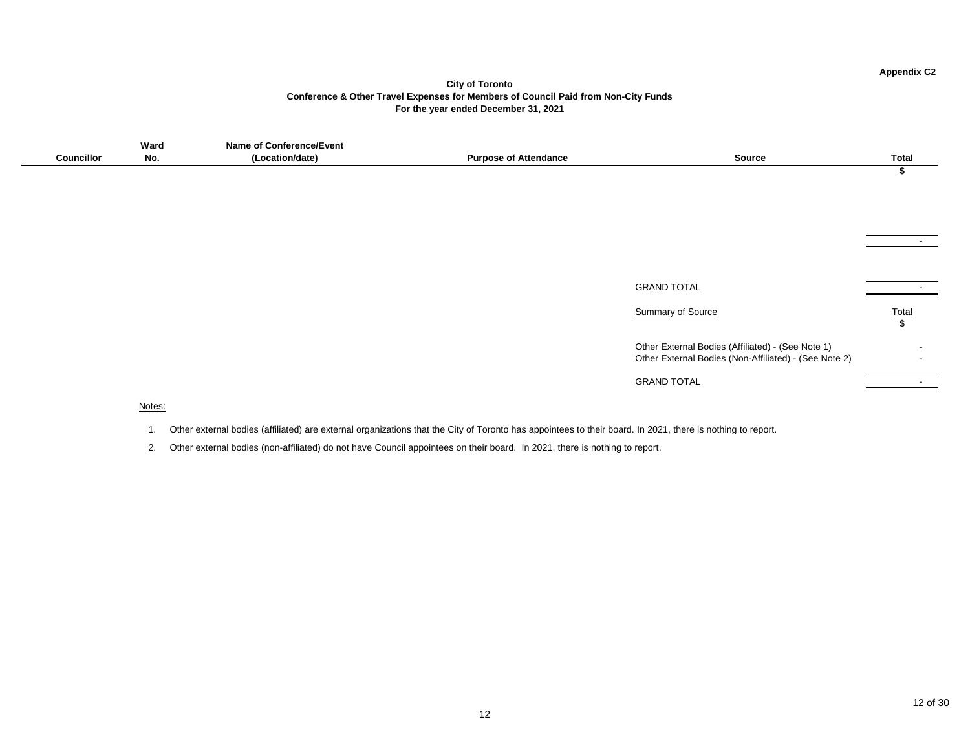### **City of Toronto Conference & Other Travel Expenses for Members of Council Paid from Non-City Funds For the year ended December 31, 2021**

|                | Ward | Nam<br>∵vent<br>יה<br>onter |                                 |        |
|----------------|------|-----------------------------|---------------------------------|--------|
| <br>`∩uncilloı | No.  | n/date<br>аш.               | Pıır<br>naanco<br>. Atter<br>OТ | source |
|                |      |                             |                                 |        |

GRAND TOTAL

Summary of Source

Other External Bodies (Affiliated Other External Bodies (Non-Aff

| е                        | <b>Total</b> |
|--------------------------|--------------|
|                          | \$           |
|                          |              |
|                          |              |
|                          |              |
|                          |              |
|                          |              |
|                          |              |
|                          |              |
|                          |              |
|                          | <b>Total</b> |
|                          | \$           |
| ed) - (See Note 1)       |              |
| filiated) - (See Note 2) |              |
|                          |              |

GRAND TOTAL

### Notes:

- 1. Other external bodies (affiliated) are external organizations that the City of Toronto has appointees to their board. In 2021, there is nothing to report.
- 2. Other external bodies (non-affiliated) do not have Council appointees on their board. In 2021, there is nothing to report.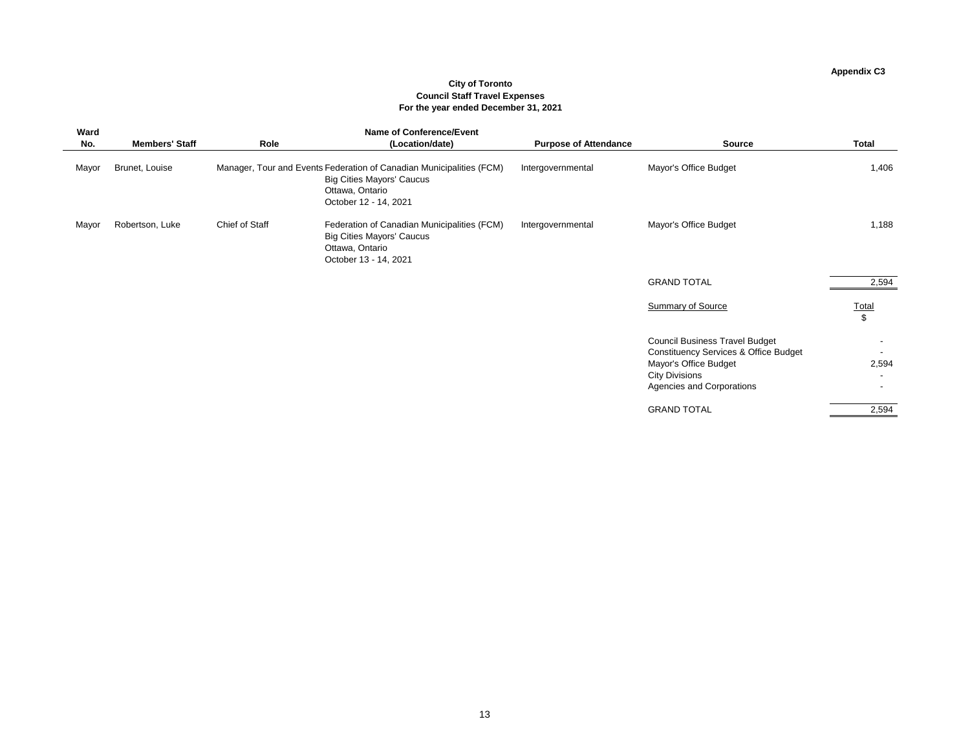# **City of Toronto Council Staff Travel Expenses For the year ended December 31, 2021**

# **Appendix C3**

| Ward  |                       |                       | <b>Name of Conference/Event</b>                                                                                                                      |                              |                                                                                                                                                                                 |                                |
|-------|-----------------------|-----------------------|------------------------------------------------------------------------------------------------------------------------------------------------------|------------------------------|---------------------------------------------------------------------------------------------------------------------------------------------------------------------------------|--------------------------------|
| No.   | <b>Members' Staff</b> | Role                  | (Location/date)                                                                                                                                      | <b>Purpose of Attendance</b> | <b>Source</b>                                                                                                                                                                   | <b>Total</b>                   |
| Mayor | Brunet, Louise        |                       | Manager, Tour and Events Federation of Canadian Municipalities (FCM)<br><b>Big Cities Mayors' Caucus</b><br>Ottawa, Ontario<br>October 12 - 14, 2021 | Intergovernmental            | Mayor's Office Budget                                                                                                                                                           | 1,406                          |
| Mayor | Robertson, Luke       | <b>Chief of Staff</b> | Federation of Canadian Municipalities (FCM)<br><b>Big Cities Mayors' Caucus</b><br>Ottawa, Ontario<br>October 13 - 14, 2021                          | Intergovernmental            | Mayor's Office Budget                                                                                                                                                           | 1,188                          |
|       |                       |                       |                                                                                                                                                      |                              | <b>GRAND TOTAL</b>                                                                                                                                                              | 2,594                          |
|       |                       |                       |                                                                                                                                                      |                              | <b>Summary of Source</b>                                                                                                                                                        | <u>Total</u><br>$\mathfrak{S}$ |
|       |                       |                       |                                                                                                                                                      |                              | <b>Council Business Travel Budget</b><br><b>Constituency Services &amp; Office Budget</b><br>Mayor's Office Budget<br><b>City Divisions</b><br><b>Agencies and Corporations</b> | 2,594                          |
|       |                       |                       |                                                                                                                                                      |                              | <b>GRAND TOTAL</b>                                                                                                                                                              | 2,594                          |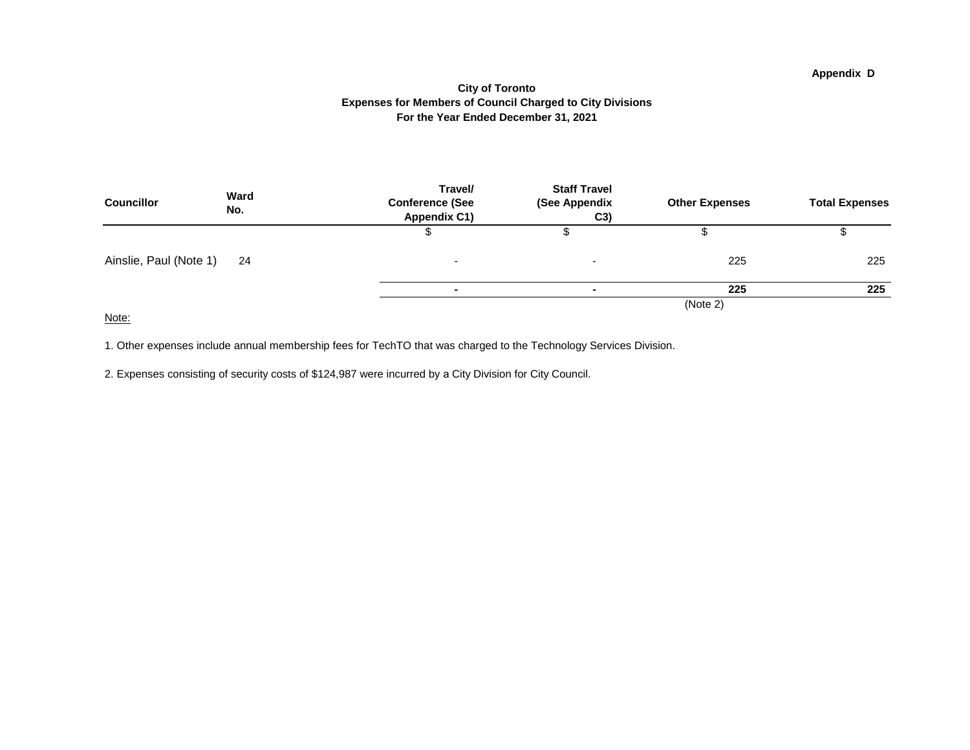### **For the Year Ended December 31, 2021 City of Toronto Expenses for Members of Council Charged to City Divisions**

| <b>Councillor</b>      | <b>Ward</b><br>No. | Travel/<br><b>Conference (See</b><br><b>Appendix C1)</b> | <b>Staff Travel</b><br>(See Appendix<br>C3) | <b>Other Expenses</b> | <b>Total Expenses</b> |
|------------------------|--------------------|----------------------------------------------------------|---------------------------------------------|-----------------------|-----------------------|
|                        |                    |                                                          |                                             |                       |                       |
| Ainslie, Paul (Note 1) | 24                 | $\overline{\phantom{0}}$                                 | <b>.</b>                                    | 225                   | 225                   |
|                        |                    |                                                          |                                             | 225                   | 225                   |
|                        |                    |                                                          |                                             | (Note 2)              |                       |

Note:

1. Other expenses include annual membership fees for TechTO that was charged to the Technology Services Division.

2. Expenses consisting of security costs of \$124,987 were incurred by a City Division for City Council.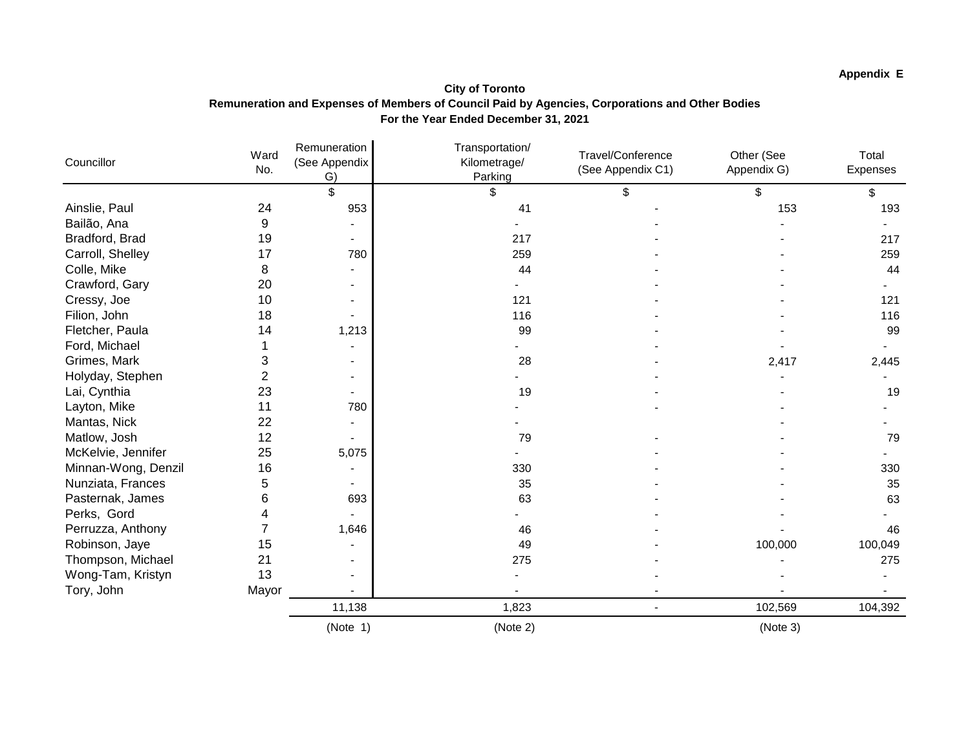## **Appendix E**

### **City of Toronto Remuneration and Expenses of Members of Council Paid by Agencies, Corporations and Other Bodies For the Year Ended December 31, 2021**

| Councillor          | Ward<br>No.    | Remuneration<br>(See Appendix<br>G) | Transportation/<br>Kilometrage/<br>Parking | Travel/Conference<br>(See Appendix C1) | Other (See<br>Appendix G) | Total<br>Expenses |
|---------------------|----------------|-------------------------------------|--------------------------------------------|----------------------------------------|---------------------------|-------------------|
|                     |                | \$                                  | \$                                         | \$                                     | \$                        | \$                |
| Ainslie, Paul       | 24             | 953                                 | 41                                         |                                        | 153                       | 193               |
| Bailão, Ana         | 9              |                                     |                                            |                                        |                           |                   |
| Bradford, Brad      | 19             |                                     | 217                                        |                                        |                           | 217               |
| Carroll, Shelley    | 17             | 780                                 | 259                                        |                                        |                           | 259               |
| Colle, Mike         | 8              |                                     | 44                                         |                                        |                           | 44                |
| Crawford, Gary      | 20             |                                     |                                            |                                        |                           |                   |
| Cressy, Joe         | 10             |                                     | 121                                        |                                        |                           | 121               |
| Filion, John        | 18             |                                     | 116                                        |                                        |                           | 116               |
| Fletcher, Paula     | 14             | 1,213                               | 99                                         |                                        |                           | 99                |
| Ford, Michael       |                |                                     |                                            |                                        |                           |                   |
| Grimes, Mark        | 3              |                                     | 28                                         |                                        | 2,417                     | 2,445             |
| Holyday, Stephen    | $\overline{2}$ |                                     |                                            |                                        |                           |                   |
| Lai, Cynthia        | 23             |                                     | 19                                         |                                        |                           | 19                |
| Layton, Mike        | 11             | 780                                 |                                            |                                        |                           |                   |
| Mantas, Nick        | 22             |                                     |                                            |                                        |                           |                   |
| Matlow, Josh        | 12             |                                     | 79                                         |                                        |                           | 79                |
| McKelvie, Jennifer  | 25             | 5,075                               |                                            |                                        |                           |                   |
| Minnan-Wong, Denzil | 16             |                                     | 330                                        |                                        |                           | 330               |
| Nunziata, Frances   | 5              |                                     | 35                                         |                                        |                           | 35                |
| Pasternak, James    | 6              | 693                                 | 63                                         |                                        |                           | 63                |
| Perks, Gord         | 4              |                                     |                                            |                                        |                           |                   |
| Perruzza, Anthony   | 7              | 1,646                               | 46                                         |                                        |                           | 46                |
| Robinson, Jaye      | 15             |                                     | 49                                         |                                        | 100,000                   | 100,049           |
| Thompson, Michael   | 21             |                                     | 275                                        |                                        |                           | 275               |
| Wong-Tam, Kristyn   | 13             |                                     |                                            |                                        |                           |                   |
| Tory, John          | Mayor          |                                     |                                            |                                        |                           |                   |
|                     |                | 11,138                              | 1,823                                      |                                        | 102,569                   | 104,392           |
|                     |                | (Note 1)                            | (Note 2)                                   |                                        | (Note 3)                  |                   |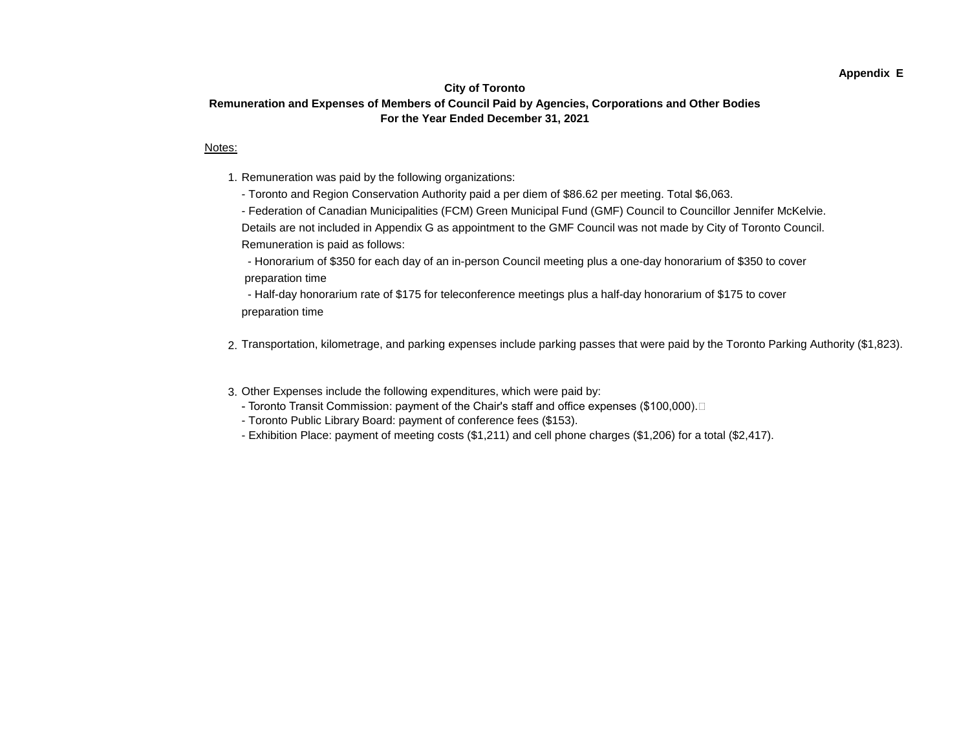#### **Appendix E**

### **City of Toronto Remuneration and Expenses of Members of Council Paid by Agencies, Corporations and Other Bodies For the Year Ended December 31, 2021**

#### Notes:

- 1. Remuneration was paid by the following organizations:
	- Toronto and Region Conservation Authority paid a per diem of \$86.62 per meeting. Total \$6,063.

- Federation of Canadian Municipalities (FCM) Green Municipal Fund (GMF) Council to Councillor Jennifer McKelvie. Details are not included in Appendix G as appointment to the GMF Council was not made by City of Toronto Council. Remuneration is paid as follows:

 - Honorarium of \$350 for each day of an in-person Council meeting plus a one-day honorarium of \$350 to cover preparation time

 - Half-day honorarium rate of \$175 for teleconference meetings plus a half-day honorarium of \$175 to cover preparation time

- 2. Transportation, kilometrage, and parking expenses include parking passes that were paid by the Toronto Parking Authority (\$1,823).
- 3. Other Expenses include the following expenditures, which were paid by:
	- Toronto Transit Commission: payment of the Chair's staff and office expenses (\$100,000).
	- Toronto Public Library Board: payment of conference fees (\$153).
	- Exhibition Place: payment of meeting costs (\$1,211) and cell phone charges (\$1,206) for a total (\$2,417).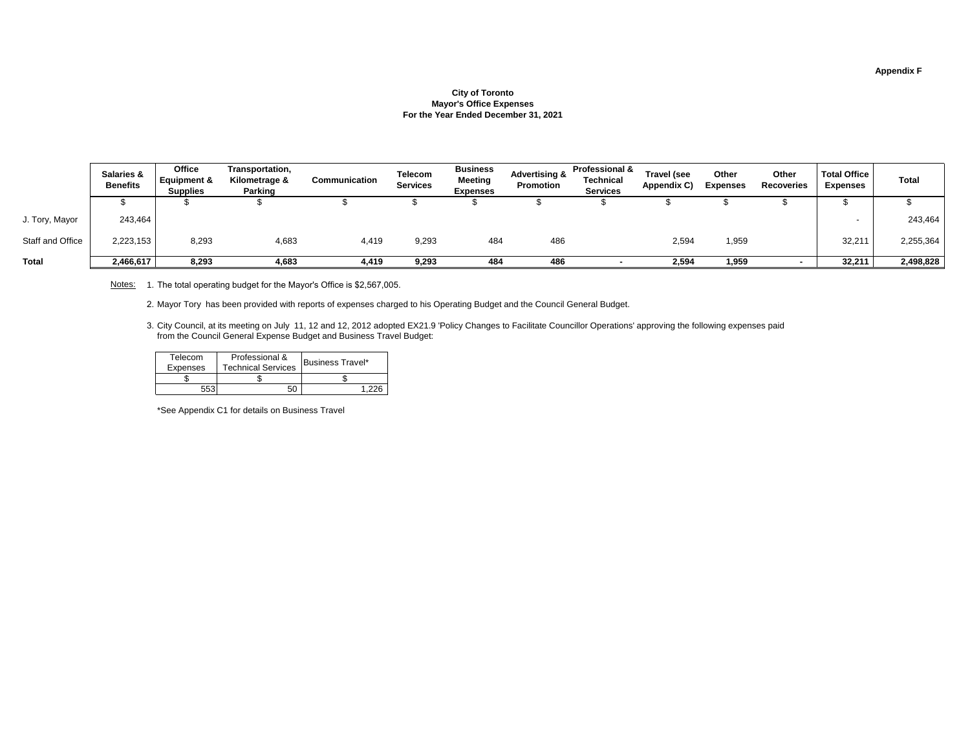# **Appendix F**

## **City of Toronto Mayor's Office Expenses For the Year Ended December 31, 2021**

|                         | <b>Salaries &amp;</b><br><b>Benefits</b> | <b>Office</b><br><b>Equipment &amp;</b><br><b>Supplies</b> | Transportation,<br>Kilometrage &<br><b>Parking</b> | <b>Communication</b> | <b>Telecom</b><br><b>Services</b> | <b>Business</b><br><b>Meeting</b><br><b>Expenses</b> | <b>Advertising &amp;</b><br><b>Promotion</b> | <b>Professional &amp;</b><br><b>Technical</b><br><b>Services</b> | <b>Travel (see</b><br>Appendix C) | <b>Other</b><br><b>Expenses</b> | <b>Other</b><br><b>Recoveries</b> | <b>Total Office</b><br><b>Expenses</b> | <b>Total</b> |
|-------------------------|------------------------------------------|------------------------------------------------------------|----------------------------------------------------|----------------------|-----------------------------------|------------------------------------------------------|----------------------------------------------|------------------------------------------------------------------|-----------------------------------|---------------------------------|-----------------------------------|----------------------------------------|--------------|
|                         |                                          |                                                            |                                                    |                      |                                   |                                                      |                                              |                                                                  |                                   |                                 |                                   |                                        |              |
| J. Tory, Mayor          | 243,464                                  |                                                            |                                                    |                      |                                   |                                                      |                                              |                                                                  |                                   |                                 |                                   |                                        | 243,464      |
| <b>Staff and Office</b> | 2,223,153                                | 8,293                                                      | 4,683                                              | 4,419                | 9,293                             | 484                                                  | 486                                          |                                                                  | 2,594                             | ,959                            |                                   | 32,211                                 | 2,255,364    |
| <b>Total</b>            | 2,466,617                                | 8,293                                                      | 4,683                                              | 4,419                | 9,293                             | 484                                                  | 486                                          |                                                                  | 2,594                             | 959, ا                          |                                   | 32,211                                 | 2,498,828    |

| Telecom         | Professional &            | <b>Business Travel*</b> |
|-----------------|---------------------------|-------------------------|
| <b>Expenses</b> | <b>Technical Services</b> |                         |
|                 |                           |                         |
|                 |                           |                         |

Notes: 1. The total operating budget for the Mayor's Office is \$2,567,005.

\*See Appendix C1 for details on Business Travel

2. Mayor Tory has been provided with reports of expenses charged to his Operating Budget and the Council General Budget.

3. City Council, at its meeting on July 11, 12 and 12, 2012 adopted EX21.9 'Policy Changes to Facilitate Councillor Operations' approving the following expenses paid from the Council General Expense Budget and Business Travel Budget: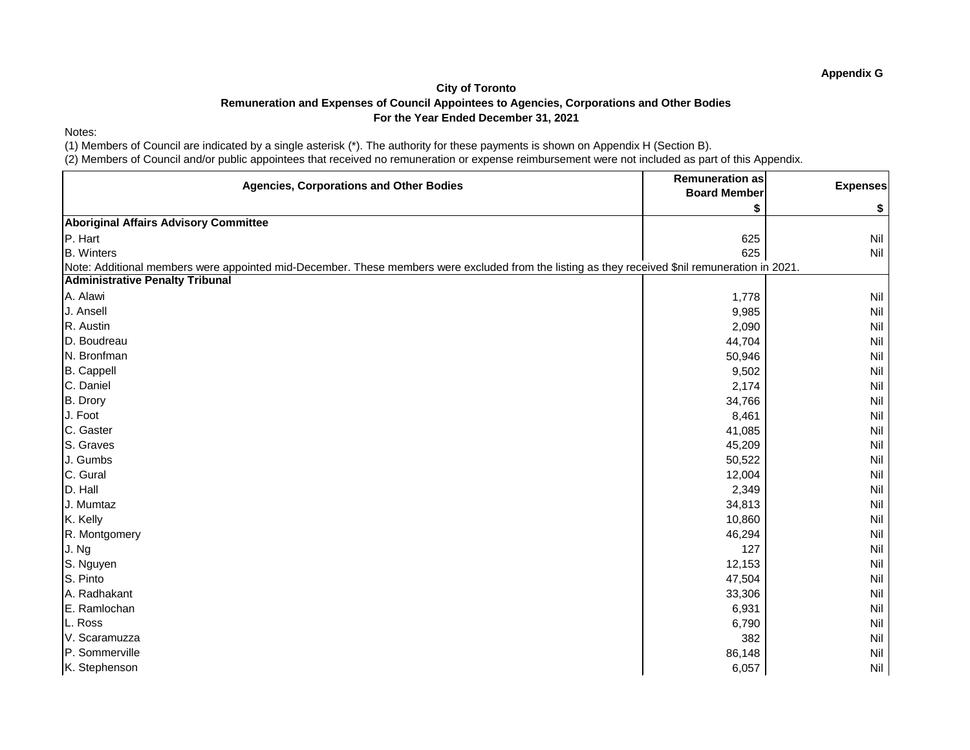### Notes:

(1) Members of Council are indicated by a single asterisk (\*). The authority for these payments is shown on Appendix H (Section B).

| <b>Agencies, Corporations and Other Bodies</b>                                                                                                  | <b>Remuneration as</b><br><b>Board Member</b> | <b>Expenses</b> |
|-------------------------------------------------------------------------------------------------------------------------------------------------|-----------------------------------------------|-----------------|
|                                                                                                                                                 |                                               | \$              |
| <b>Aboriginal Affairs Advisory Committee</b>                                                                                                    |                                               |                 |
| P. Hart                                                                                                                                         | 625                                           | <b>Nil</b>      |
| <b>B.</b> Winters                                                                                                                               | 625                                           | Nil             |
| Note: Additional members were appointed mid-December. These members were excluded from the listing as they received \$nil remuneration in 2021. |                                               |                 |
| <b>Administrative Penalty Tribunal</b>                                                                                                          |                                               |                 |
| A. Alawi                                                                                                                                        | 1,778                                         | Nil             |
| J. Ansell                                                                                                                                       | 9,985                                         | Nil             |
| R. Austin                                                                                                                                       | 2,090                                         | Nil             |
| D. Boudreau                                                                                                                                     | 44,704                                        | Nil             |
| N. Bronfman                                                                                                                                     | 50,946                                        | Nil             |
| <b>B.</b> Cappell                                                                                                                               | 9,502                                         | Nil             |
| C. Daniel                                                                                                                                       | 2,174                                         | Nil             |
| B. Drory                                                                                                                                        | 34,766                                        | Nil             |
| J. Foot                                                                                                                                         | 8,461                                         | Nil             |
| C. Gaster                                                                                                                                       | 41,085                                        | Nil             |
| S. Graves                                                                                                                                       | 45,209                                        | Nil             |
| J. Gumbs                                                                                                                                        | 50,522                                        | Nil             |
| C. Gural                                                                                                                                        | 12,004                                        | Nil             |
| D. Hall                                                                                                                                         | 2,349                                         | Nil             |
| J. Mumtaz                                                                                                                                       | 34,813                                        | Nil             |
| K. Kelly                                                                                                                                        | 10,860                                        | Nil             |
| R. Montgomery                                                                                                                                   | 46,294                                        | Nil             |
| J. Ng                                                                                                                                           | 127                                           | Nil             |
| S. Nguyen                                                                                                                                       | 12,153                                        | Nil             |
| S. Pinto                                                                                                                                        | 47,504                                        | Nil             |
| A. Radhakant                                                                                                                                    | 33,306                                        | <b>Nil</b>      |
| E. Ramlochan                                                                                                                                    | 6,931                                         | Nil             |
| L. Ross                                                                                                                                         | 6,790                                         | Nil             |
| V. Scaramuzza                                                                                                                                   | 382                                           | Nil             |
| P. Sommerville                                                                                                                                  | 86,148                                        | <b>Nil</b>      |
| K. Stephenson                                                                                                                                   | 6,057                                         | <b>Nil</b>      |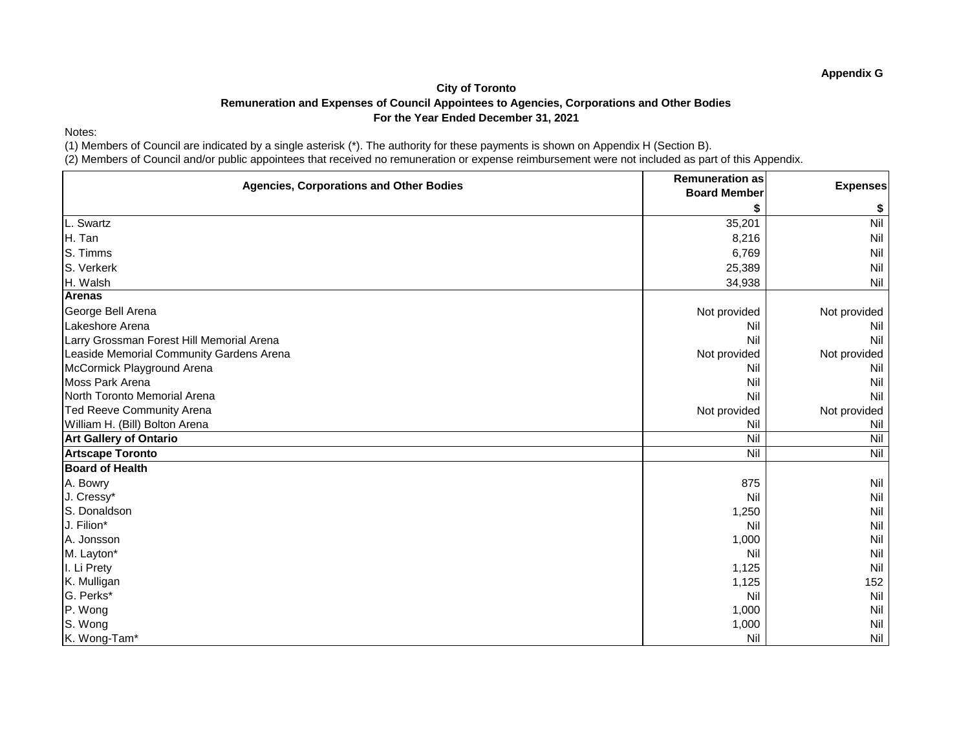Notes:

(1) Members of Council are indicated by a single asterisk (\*). The authority for these payments is shown on Appendix H (Section B).

(2) Members of Council and/or public appointees that received no remuneration or expense reimbursement were not included as part of this Appendix.

| <b>Agencies, Corporations and Other Bodies</b> | <b>Remuneration as</b> | <b>Expenses</b> |
|------------------------------------------------|------------------------|-----------------|
|                                                | <b>Board Member</b>    |                 |
|                                                |                        | \$              |
| L. Swartz                                      | 35,201                 | Nil             |
| H. Tan                                         | 8,216                  | Nil             |
| S. Timms                                       | 6,769                  | Nil             |
| S. Verkerk                                     | 25,389                 | Nil             |
| H. Walsh                                       | 34,938                 | Nil             |
| <b>Arenas</b>                                  |                        |                 |
| George Bell Arena                              | Not provided           | Not provided    |
| Lakeshore Arena                                | Nil                    | Nil             |
| Larry Grossman Forest Hill Memorial Arena      | Nil                    | Nil             |
| Leaside Memorial Community Gardens Arena       | Not provided           | Not provided    |
| McCormick Playground Arena                     | Nil                    | Nil             |
| Moss Park Arena                                | Nil                    | Nil             |
| North Toronto Memorial Arena                   | Nil                    | Nil             |
| <b>Ted Reeve Community Arena</b>               | Not provided           | Not provided    |
| William H. (Bill) Bolton Arena                 | Nil                    | Nil             |
| <b>Art Gallery of Ontario</b>                  | Nil                    | Nil             |
| <b>Artscape Toronto</b>                        | Nil                    | Nil             |
| <b>Board of Health</b>                         |                        |                 |
| A. Bowry                                       | 875                    | Nil             |
| J. Cressy*                                     | Nil                    | Nil             |
| S. Donaldson                                   | 1,250                  | Nil             |
| J. Filion*                                     | Nil                    | Nil             |
| A. Jonsson                                     | 1,000                  | Nil             |
| M. Layton*                                     | Nil                    | Nil             |
| I. Li Prety                                    | 1,125                  | Nil             |
| K. Mulligan                                    | 1,125                  | 152             |
| G. Perks*                                      | Nil                    | Nil             |
| P. Wong                                        | 1,000                  | Nil             |
| S. Wong                                        | 1,000                  | Nil             |
| K. Wong-Tam*                                   | Nil                    | Nil             |

**Appendix G**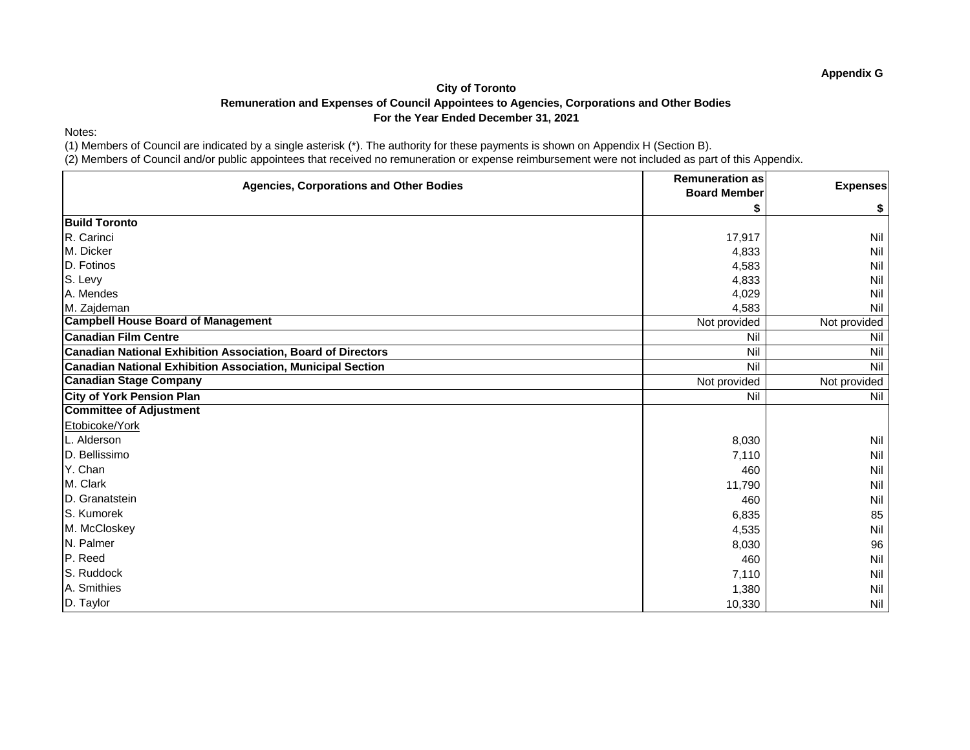Notes:

(1) Members of Council are indicated by a single asterisk (\*). The authority for these payments is shown on Appendix H (Section B).

(2) Members of Council and/or public appointees that received no remuneration or expense reimbursement were not included as part of this Appendix.

| <b>Agencies, Corporations and Other Bodies</b>                      | <b>Remuneration as</b><br><b>Board Member</b> | <b>Expenses</b> |
|---------------------------------------------------------------------|-----------------------------------------------|-----------------|
|                                                                     |                                               | \$              |
| <b>Build Toronto</b>                                                |                                               |                 |
| R. Carinci                                                          | 17,917                                        | <b>Nil</b>      |
| M. Dicker                                                           | 4,833                                         | <b>Nil</b>      |
| D. Fotinos                                                          | 4,583                                         | Nil             |
| S. Levy                                                             | 4,833                                         | Nil             |
| A. Mendes                                                           | 4,029                                         | Nil             |
| M. Zajdeman                                                         | 4,583                                         | Nil             |
| <b>Campbell House Board of Management</b>                           | Not provided                                  | Not provided    |
| <b>Canadian Film Centre</b>                                         | Nil                                           | Nil             |
| <b>Canadian National Exhibition Association, Board of Directors</b> | Nil                                           | Nil             |
| <b>Canadian National Exhibition Association, Municipal Section</b>  | Nil                                           | Nil             |
| <b>Canadian Stage Company</b>                                       | Not provided                                  | Not provided    |
| <b>City of York Pension Plan</b>                                    | Nil                                           | Nil             |
| <b>Committee of Adjustment</b>                                      |                                               |                 |
| Etobicoke/York                                                      |                                               |                 |
| L. Alderson                                                         | 8,030                                         | <b>Nil</b>      |
| D. Bellissimo                                                       | 7,110                                         | <b>Nil</b>      |
| Y. Chan                                                             | 460                                           | <b>Nil</b>      |
| M. Clark                                                            | 11,790                                        | Nil             |
| D. Granatstein                                                      | 460                                           | Nil             |
| S. Kumorek                                                          | 6,835                                         | 85              |
| M. McCloskey                                                        | 4,535                                         | <b>Nil</b>      |
| N. Palmer                                                           | 8,030                                         | 96              |
| P. Reed                                                             | 460                                           | Nil             |
| S. Ruddock                                                          | 7,110                                         | Nil             |
| A. Smithies                                                         | 1,380                                         | <b>Nil</b>      |
| D. Taylor                                                           | 10,330                                        | Nil             |

**Appendix G**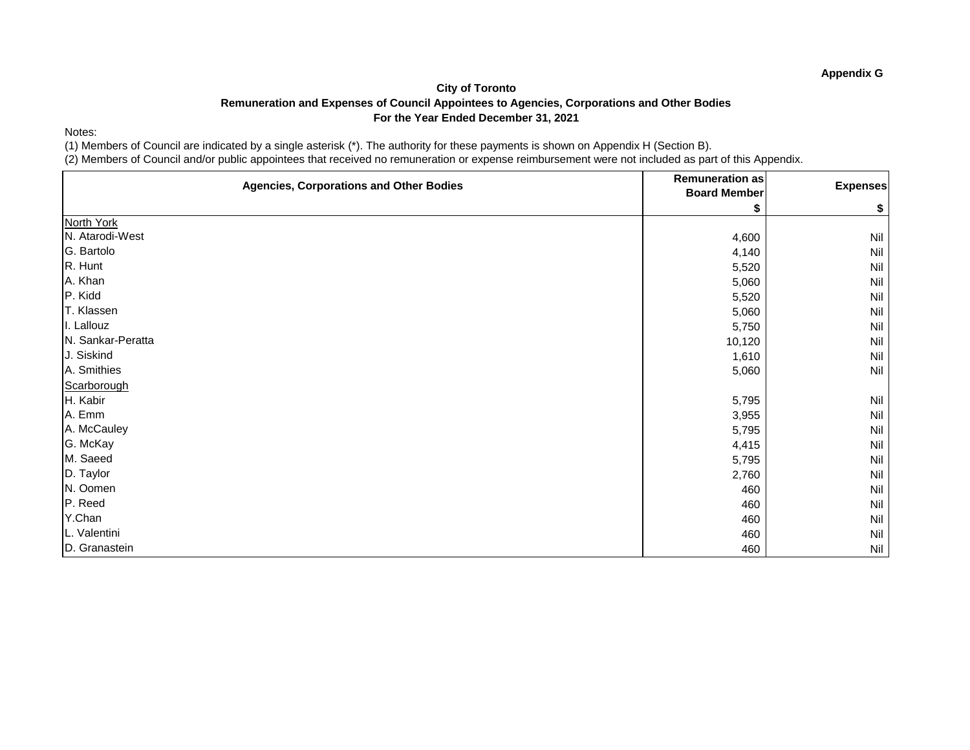Notes:

(1) Members of Council are indicated by a single asterisk (\*). The authority for these payments is shown on Appendix H (Section B).

| <b>Agencies, Corporations and Other Bodies</b> | <b>Remuneration as</b><br><b>Board Member</b> | <b>Expenses</b> |
|------------------------------------------------|-----------------------------------------------|-----------------|
|                                                |                                               | \$              |
| North York                                     |                                               |                 |
| N. Atarodi-West                                | 4,600                                         | Nil             |
| G. Bartolo                                     | 4,140                                         | Nil             |
| R. Hunt                                        | 5,520                                         | Nil             |
| A. Khan                                        | 5,060                                         | Nil             |
| P. Kidd                                        | 5,520                                         | Nil             |
| T. Klassen                                     | 5,060                                         | Nil             |
| I. Lallouz                                     | 5,750                                         | Nil             |
| N. Sankar-Peratta                              | 10,120                                        | Nil             |
| J. Siskind                                     | 1,610                                         | Nil             |
| A. Smithies                                    | 5,060                                         | Nil             |
| Scarborough                                    |                                               |                 |
| H. Kabir                                       | 5,795                                         | Nil             |
| A. Emm                                         | 3,955                                         | Nil             |
| A. McCauley                                    | 5,795                                         | Nil             |
| G. McKay                                       | 4,415                                         | Nil             |
| M. Saeed                                       | 5,795                                         | Nil             |
| D. Taylor                                      | 2,760                                         | Nil             |
| N. Oomen                                       | 460                                           | Nil             |
| P. Reed                                        | 460                                           | Nil             |
| Y.Chan                                         | 460                                           | Nil             |
| L. Valentini                                   | 460                                           | Nil             |
| D. Granastein                                  | 460                                           | Nil             |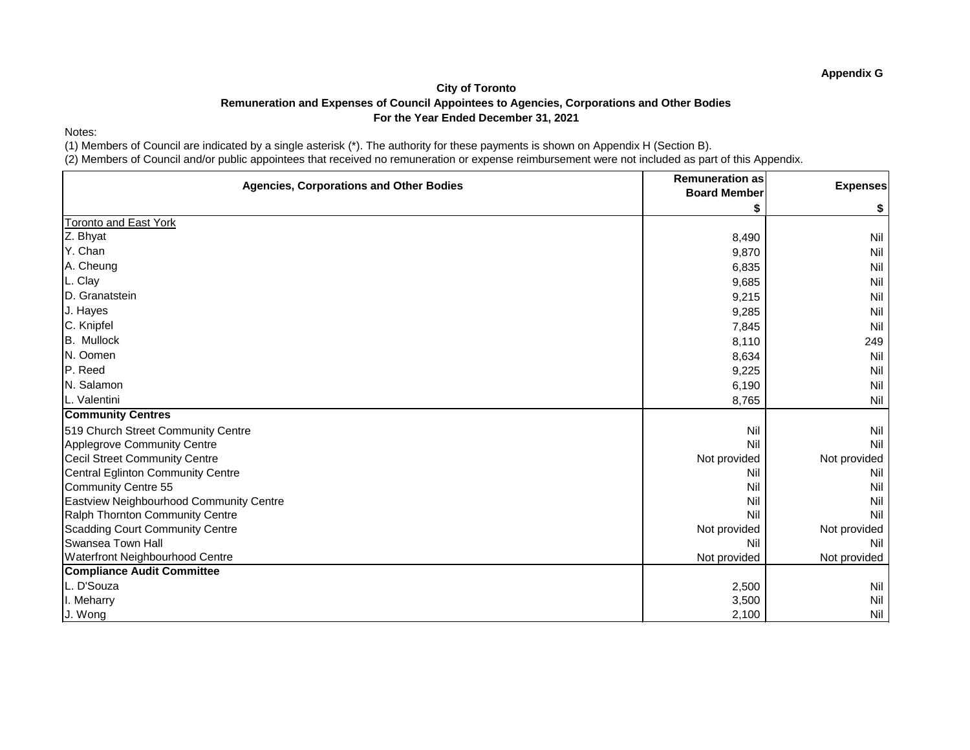Notes:

(1) Members of Council are indicated by a single asterisk (\*). The authority for these payments is shown on Appendix H (Section B).

| <b>Agencies, Corporations and Other Bodies</b> | <b>Remuneration as</b><br><b>Board Member</b> | <b>Expenses</b> |
|------------------------------------------------|-----------------------------------------------|-----------------|
|                                                |                                               | \$              |
| <b>Toronto and East York</b>                   |                                               |                 |
| Z. Bhyat                                       | 8,490                                         | <b>Nil</b>      |
| Y. Chan                                        | 9,870                                         | Nil             |
| A. Cheung                                      | 6,835                                         | Nil             |
| L. Clay                                        | 9,685                                         | Nil             |
| D. Granatstein                                 | 9,215                                         | Nil             |
| J. Hayes                                       | 9,285                                         | Nil             |
| C. Knipfel                                     | 7,845                                         | Nil             |
| <b>B.</b> Mullock                              | 8,110                                         | 249             |
| N. Oomen                                       | 8,634                                         | Nil             |
| P. Reed                                        | 9,225                                         | Nil             |
| N. Salamon                                     | 6,190                                         | Nil             |
| L. Valentini                                   | 8,765                                         | Nil             |
| <b>Community Centres</b>                       |                                               |                 |
| 519 Church Street Community Centre             | Nil                                           | Nil             |
| Applegrove Community Centre                    | Nil                                           | Nil             |
| <b>Cecil Street Community Centre</b>           | Not provided                                  | Not provided    |
| <b>Central Eglinton Community Centre</b>       | Nil                                           | Nil             |
| <b>Community Centre 55</b>                     | Nil                                           | Nil             |
| Eastview Neighbourhood Community Centre        | Nil                                           | Nil             |
| Ralph Thornton Community Centre                | Nil                                           | Nil             |
| <b>Scadding Court Community Centre</b>         | Not provided                                  | Not provided    |
| <b>Swansea Town Hall</b>                       | Nil                                           | Nil             |
| <b>Waterfront Neighbourhood Centre</b>         | Not provided                                  | Not provided    |
| <b>Compliance Audit Committee</b>              |                                               |                 |
| L. D'Souza                                     | 2,500                                         | Nil             |
| I. Meharry                                     | 3,500                                         | Nil             |
| J. Wong                                        | 2,100                                         | Nil             |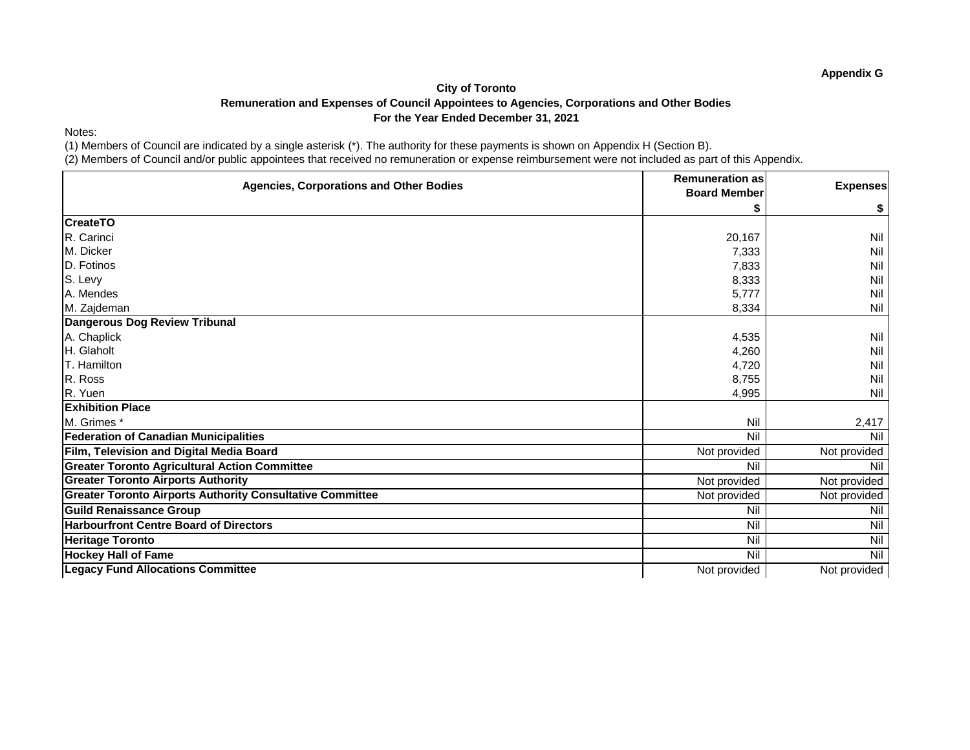Notes:

(1) Members of Council are indicated by a single asterisk (\*). The authority for these payments is shown on Appendix H (Section B).

| <b>Agencies, Corporations and Other Bodies</b>                   | <b>Remuneration as</b><br><b>Board Member</b> | <b>Expenses</b> |
|------------------------------------------------------------------|-----------------------------------------------|-----------------|
|                                                                  |                                               | \$              |
| <b>CreateTO</b>                                                  |                                               |                 |
| R. Carinci                                                       | 20,167                                        | Nil             |
| M. Dicker                                                        | 7,333                                         | <b>Nil</b>      |
| D. Fotinos                                                       | 7,833                                         | Nil             |
| S. Levy                                                          | 8,333                                         | Nil             |
| A. Mendes                                                        | 5,777                                         | Nil             |
| M. Zajdeman                                                      | 8,334                                         | Nil             |
| Dangerous Dog Review Tribunal                                    |                                               |                 |
| A. Chaplick                                                      | 4,535                                         | Nil             |
| H. Glaholt                                                       | 4,260                                         | <b>Nil</b>      |
| T. Hamilton                                                      | 4,720                                         | Nil             |
| R. Ross                                                          | 8,755                                         | Nil             |
| R. Yuen                                                          | 4,995                                         | Nil             |
| <b>Exhibition Place</b>                                          |                                               |                 |
| M. Grimes *                                                      | Nil                                           | 2,417           |
| <b>Federation of Canadian Municipalities</b>                     | Nil                                           | Nil             |
| Film, Television and Digital Media Board                         | Not provided                                  | Not provided    |
| <b>Greater Toronto Agricultural Action Committee</b>             | Nil                                           | Nil             |
| <b>Greater Toronto Airports Authority</b>                        | Not provided                                  | Not provided    |
| <b>Greater Toronto Airports Authority Consultative Committee</b> | Not provided                                  | Not provided    |
| <b>Guild Renaissance Group</b>                                   | Nil                                           | Nil             |
| <b>Harbourfront Centre Board of Directors</b>                    | Nil                                           | Nil             |
| <b>Heritage Toronto</b>                                          | Nil                                           | Nil             |
| <b>Hockey Hall of Fame</b>                                       | Nil                                           | Nil             |
| <b>Legacy Fund Allocations Committee</b>                         | Not provided                                  | Not provided    |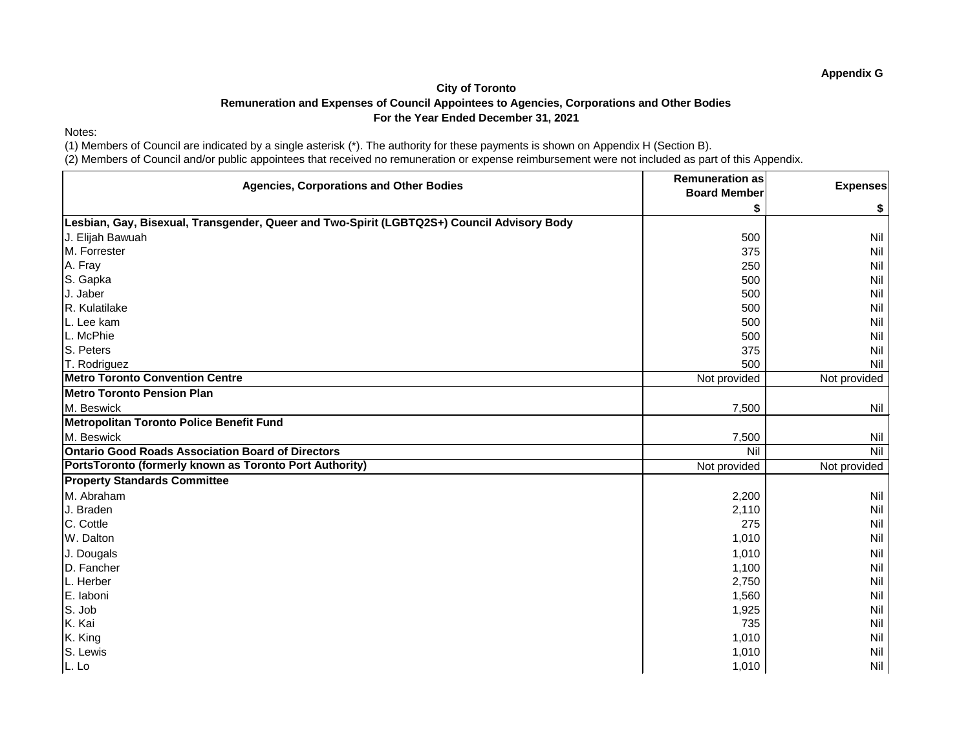### Notes:

(1) Members of Council are indicated by a single asterisk (\*). The authority for these payments is shown on Appendix H (Section B).

| <b>Agencies, Corporations and Other Bodies</b>                                             | <b>Remuneration as</b><br><b>Board Member</b> | <b>Expenses</b> |
|--------------------------------------------------------------------------------------------|-----------------------------------------------|-----------------|
|                                                                                            |                                               | \$              |
| Lesbian, Gay, Bisexual, Transgender, Queer and Two-Spirit (LGBTQ2S+) Council Advisory Body |                                               |                 |
| J. Elijah Bawuah                                                                           | 500                                           | Nil             |
| M. Forrester                                                                               | 375                                           | Nil             |
| A. Fray                                                                                    | 250                                           | Nil             |
| S. Gapka                                                                                   | 500                                           | Nil             |
| J. Jaber                                                                                   | 500                                           | Nil             |
| R. Kulatilake                                                                              | 500                                           | Nil             |
| L. Lee kam                                                                                 | 500                                           | Nil             |
| L. McPhie                                                                                  | 500                                           | Nil             |
| S. Peters                                                                                  | 375                                           | Nil             |
| T. Rodriguez                                                                               | 500                                           | Nil             |
| <b>Metro Toronto Convention Centre</b>                                                     | Not provided                                  | Not provided    |
| Metro Toronto Pension Plan                                                                 |                                               |                 |
| M. Beswick                                                                                 | 7,500                                         | Nil             |
| Metropolitan Toronto Police Benefit Fund                                                   |                                               |                 |
| M. Beswick                                                                                 | 7,500                                         | Nil             |
| <b>Ontario Good Roads Association Board of Directors</b>                                   | Nil                                           | Nil             |
| PortsToronto (formerly known as Toronto Port Authority)                                    | Not provided                                  | Not provided    |
| <b>Property Standards Committee</b>                                                        |                                               |                 |
| M. Abraham                                                                                 | 2,200                                         | Nil             |
| J. Braden                                                                                  | 2,110                                         | Nil             |
| C. Cottle                                                                                  | 275                                           | Nil             |
| W. Dalton                                                                                  | 1,010                                         | Nil             |
| J. Dougals                                                                                 | 1,010                                         | Nil             |
| D. Fancher                                                                                 | 1,100                                         | Nil             |
| L. Herber                                                                                  | 2,750                                         | Nil             |
| E. laboni                                                                                  | 1,560                                         | Nil             |
| S. Job                                                                                     | 1,925                                         | Nil             |
| K. Kai                                                                                     | 735                                           | Nil             |
| K. King                                                                                    | 1,010                                         | Nil             |
| S. Lewis                                                                                   | 1,010                                         | Nil             |
| L. Lo                                                                                      | 1,010                                         | Nil             |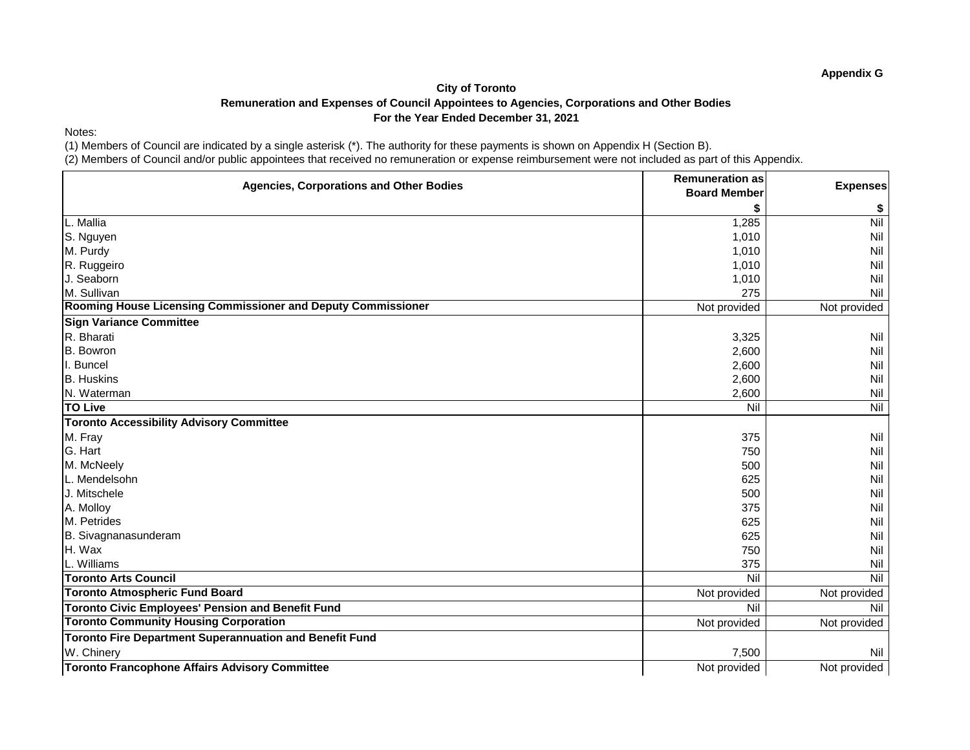Notes:

(1) Members of Council are indicated by a single asterisk (\*). The authority for these payments is shown on Appendix H (Section B).

(2) Members of Council and/or public appointees that received no remuneration or expense reimbursement were not included as part of this Appendix.

| <b>Agencies, Corporations and Other Bodies</b>                 | <b>Remuneration as</b> | <b>Expenses</b> |
|----------------------------------------------------------------|------------------------|-----------------|
|                                                                | <b>Board Member</b>    |                 |
|                                                                |                        | \$              |
| L. Mallia                                                      | 1,285                  | Nil             |
| S. Nguyen                                                      | 1,010                  | Nil             |
| M. Purdy                                                       | 1,010                  | Nil             |
| R. Ruggeiro                                                    | 1,010                  | Nil             |
| J. Seaborn                                                     | 1,010                  | Nil             |
| M. Sullivan                                                    | 275                    | Nil             |
| Rooming House Licensing Commissioner and Deputy Commissioner   | Not provided           | Not provided    |
| <b>Sign Variance Committee</b>                                 |                        |                 |
| R. Bharati                                                     | 3,325                  | Nil             |
| <b>B.</b> Bowron                                               | 2,600                  | Nil             |
| I. Buncel                                                      | 2,600                  | Nil             |
| <b>B.</b> Huskins                                              | 2,600                  | Nil             |
| N. Waterman                                                    | 2,600                  | Nil             |
| <b>TO Live</b>                                                 | Nil                    | Nil             |
| <b>Toronto Accessibility Advisory Committee</b>                |                        |                 |
| M. Fray                                                        | 375                    | Nil             |
| G. Hart                                                        | 750                    | <b>Nil</b>      |
| M. McNeely                                                     | 500                    | Nil             |
| L. Mendelsohn                                                  | 625                    | Nil             |
| J. Mitschele                                                   | 500                    | Nil             |
| A. Molloy                                                      | 375                    | Nil             |
| M. Petrides                                                    | 625                    | Nil             |
| B. Sivagnanasunderam                                           | 625                    | <b>Nil</b>      |
| H. Wax                                                         | 750                    | Nil             |
| L. Williams                                                    | 375                    | Nil             |
| <b>Toronto Arts Council</b>                                    | Nil                    | Nil             |
| <b>Toronto Atmospheric Fund Board</b>                          | Not provided           | Not provided    |
| <b>Toronto Civic Employees' Pension and Benefit Fund</b>       | Nil                    | Nil             |
| <b>Toronto Community Housing Corporation</b>                   | Not provided           | Not provided    |
| <b>Toronto Fire Department Superannuation and Benefit Fund</b> |                        |                 |
| W. Chinery                                                     | 7,500                  | Nil             |
| <b>Toronto Francophone Affairs Advisory Committee</b>          | Not provided           | Not provided    |

**Appendix G**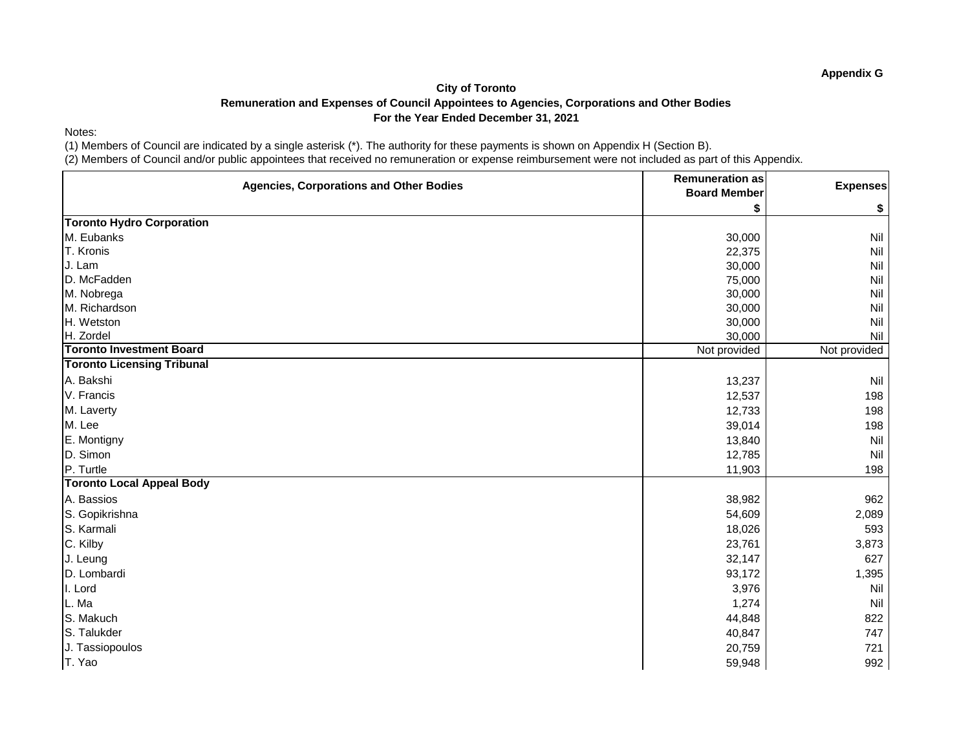Notes:

(1) Members of Council are indicated by a single asterisk (\*). The authority for these payments is shown on Appendix H (Section B).

| <b>Agencies, Corporations and Other Bodies</b> | <b>Remuneration as</b> | <b>Expenses</b> |
|------------------------------------------------|------------------------|-----------------|
|                                                | <b>Board Member</b>    |                 |
|                                                |                        | \$              |
| <b>Toronto Hydro Corporation</b>               |                        |                 |
| M. Eubanks                                     | 30,000                 | Nil             |
| T. Kronis                                      | 22,375                 | Nil             |
| J. Lam                                         | 30,000                 | Nil             |
| D. McFadden                                    | 75,000                 | Nil             |
| M. Nobrega                                     | 30,000                 | Nil             |
| M. Richardson                                  | 30,000                 | Nil             |
| H. Wetston                                     | 30,000                 | Nil             |
| H. Zordel                                      | 30,000                 | Nil             |
| <b>Toronto Investment Board</b>                | Not provided           | Not provided    |
| <b>Toronto Licensing Tribunal</b>              |                        |                 |
| A. Bakshi                                      | 13,237                 | Nil             |
| V. Francis                                     | 12,537                 | 198             |
| M. Laverty                                     | 12,733                 | 198             |
| M. Lee                                         | 39,014                 | 198             |
| E. Montigny                                    | 13,840                 | Nil             |
| D. Simon                                       | 12,785                 | Nil             |
| P. Turtle                                      | 11,903                 | 198             |
| <b>Toronto Local Appeal Body</b>               |                        |                 |
| A. Bassios                                     | 38,982                 | 962             |
| S. Gopikrishna                                 | 54,609                 | 2,089           |
| S. Karmali                                     | 18,026                 | 593             |
| C. Kilby                                       | 23,761                 | 3,873           |
| J. Leung                                       | 32,147                 | 627             |
| D. Lombardi                                    | 93,172                 | 1,395           |
| I. Lord                                        | 3,976                  | Nil             |
| L. Ma                                          | 1,274                  | Nil             |
| S. Makuch                                      | 44,848                 | 822             |
| S. Talukder                                    | 40,847                 | 747             |
| J. Tassiopoulos                                | 20,759                 | 721             |
| T. Yao                                         | 59,948                 | 992             |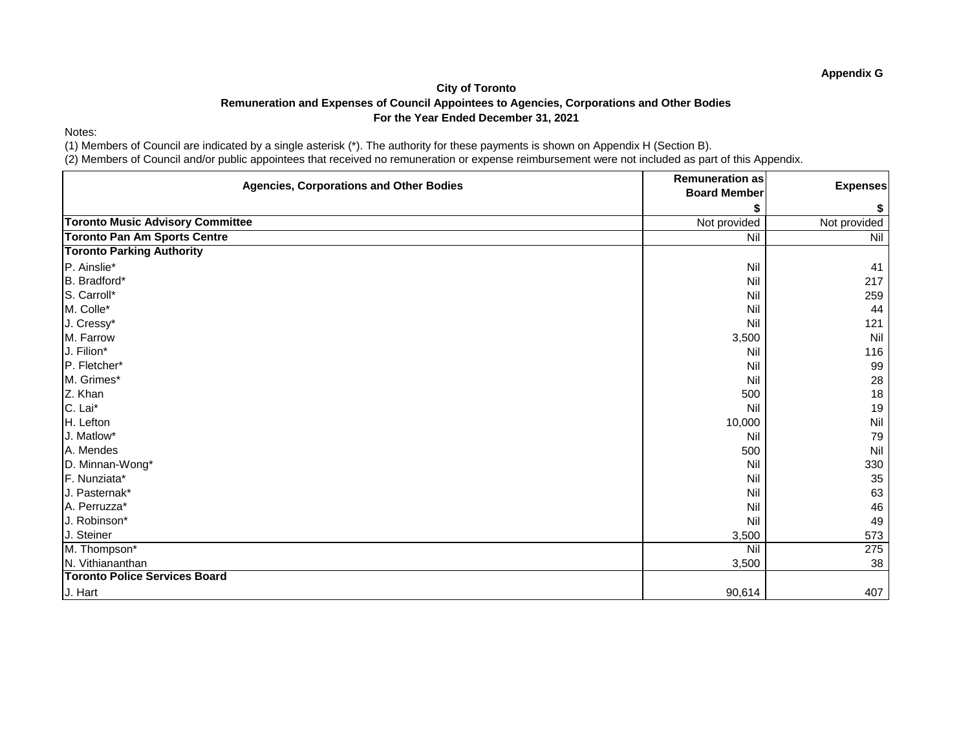Notes:

(1) Members of Council are indicated by a single asterisk (\*). The authority for these payments is shown on Appendix H (Section B).

| <b>Agencies, Corporations and Other Bodies</b> | <b>Remuneration as</b> | <b>Expenses</b> |
|------------------------------------------------|------------------------|-----------------|
|                                                | <b>Board Member</b>    |                 |
|                                                | \$                     | \$              |
| <b>Toronto Music Advisory Committee</b>        | Not provided           | Not provided    |
| <b>Toronto Pan Am Sports Centre</b>            | Nil                    | Nil             |
| <b>Toronto Parking Authority</b>               |                        |                 |
| P. Ainslie*                                    | Nil                    | 41              |
| B. Bradford*                                   | Nil                    | 217             |
| S. Carroll*                                    | Nil                    | 259             |
| M. Colle*                                      | Nil                    | 44              |
| J. Cressy*                                     | Nil                    | 121             |
| M. Farrow                                      | 3,500                  | Nil             |
| J. Filion*                                     | Nil                    | 116             |
| P. Fletcher*                                   | Nil                    | 99              |
| M. Grimes*                                     | Nil                    | 28              |
| Z. Khan                                        | 500                    | 18              |
| C. Lai*                                        | Nil                    | 19              |
| H. Lefton                                      | 10,000                 | Nil             |
| J. Matlow*                                     | Nil                    | 79              |
| A. Mendes                                      | 500                    | Nil             |
| D. Minnan-Wong*                                | Nil                    | 330             |
| F. Nunziata*                                   | Nil                    | 35              |
| J. Pasternak*                                  | Nil                    | 63              |
| A. Perruzza*                                   | Nil                    | 46              |
| J. Robinson*                                   | Nil                    | 49              |
| J. Steiner                                     | 3,500                  | 573             |
| M. Thompson*                                   | Nil                    | 275             |
| N. Vithiananthan                               | 3,500                  | 38              |
| <b>Toronto Police Services Board</b>           |                        |                 |
| J. Hart                                        | 90,614                 | 407             |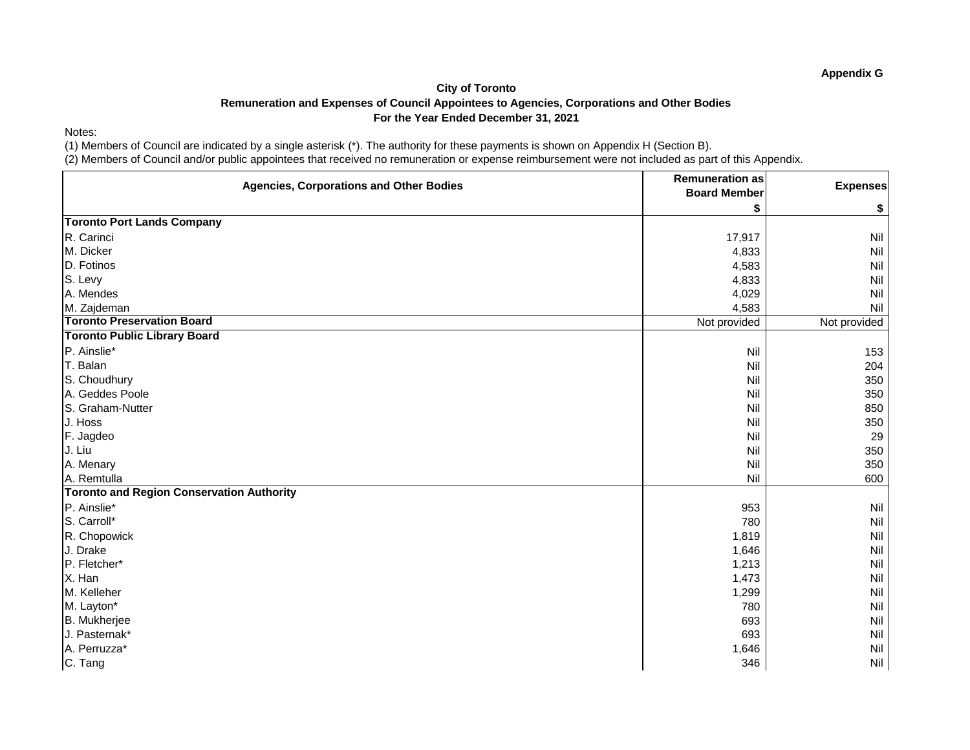Notes:

(1) Members of Council are indicated by a single asterisk (\*). The authority for these payments is shown on Appendix H (Section B).

| <b>Agencies, Corporations and Other Bodies</b>   | <b>Remuneration as</b> | <b>Expenses</b> |
|--------------------------------------------------|------------------------|-----------------|
|                                                  | <b>Board Member</b>    |                 |
|                                                  | S                      | \$              |
| <b>Toronto Port Lands Company</b>                |                        |                 |
| R. Carinci                                       | 17,917                 | <b>Nil</b>      |
| M. Dicker                                        | 4,833                  | <b>Nil</b>      |
| D. Fotinos                                       | 4,583                  | Nil             |
| S. Levy                                          | 4,833                  | <b>Nil</b>      |
| A. Mendes                                        | 4,029                  | Nil             |
| M. Zajdeman                                      | 4,583                  | Nil             |
| <b>Toronto Preservation Board</b>                | Not provided           | Not provided    |
| <b>Toronto Public Library Board</b>              |                        |                 |
| P. Ainslie*                                      | Nil                    | 153             |
| T. Balan                                         | Nil                    | 204             |
| S. Choudhury                                     | Nil                    | 350             |
| A. Geddes Poole                                  | Nil                    | 350             |
| S. Graham-Nutter                                 | Nil                    | 850             |
| J. Hoss                                          | Nil                    | 350             |
| F. Jagdeo                                        | Nil                    | 29              |
| J. Liu                                           | Nil                    | 350             |
| A. Menary                                        | Nil                    | 350             |
| A. Remtulla                                      | Nil                    | 600             |
| <b>Toronto and Region Conservation Authority</b> |                        |                 |
| P. Ainslie*                                      | 953                    | Nil             |
| S. Carroll*                                      | 780                    | <b>Nil</b>      |
| R. Chopowick                                     | 1,819                  | Nil             |
| J. Drake                                         | 1,646                  | <b>Nil</b>      |
| P. Fletcher*                                     | 1,213                  | Nil             |
| X. Han                                           | 1,473                  | <b>Nil</b>      |
| M. Kelleher                                      | 1,299                  | <b>Nil</b>      |
| M. Layton*                                       | 780                    | <b>Nil</b>      |
| B. Mukherjee                                     | 693                    | Nil             |
| J. Pasternak*                                    | 693                    | <b>Nil</b>      |
| A. Perruzza*                                     | 1,646                  | Nil             |
| C. Tang                                          | 346                    | Nil             |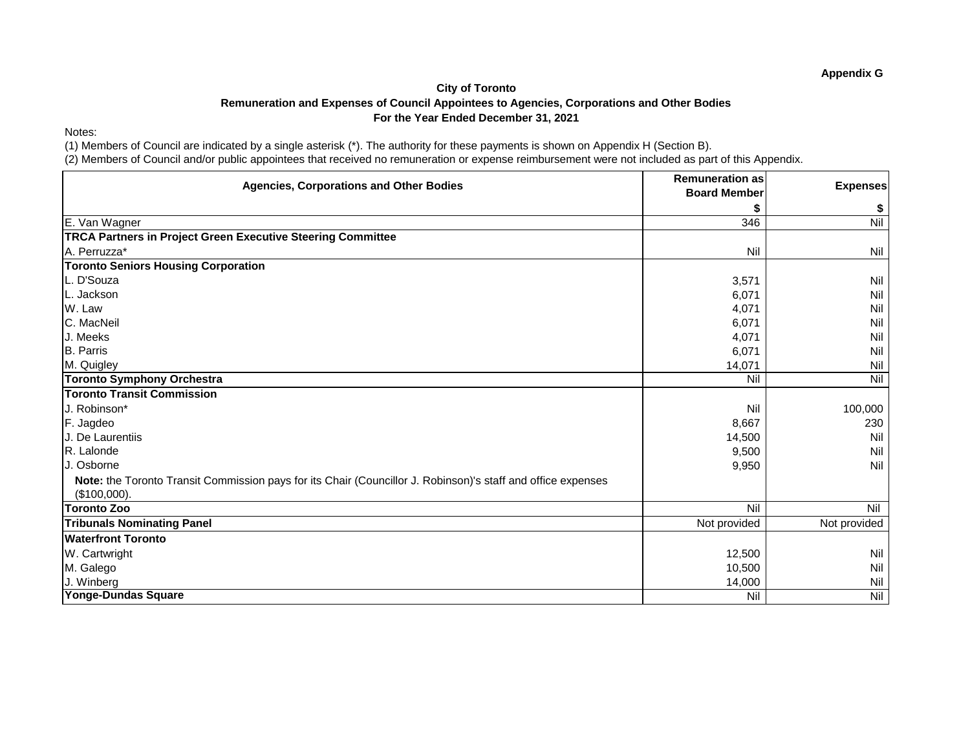### Notes:

(1) Members of Council are indicated by a single asterisk (\*). The authority for these payments is shown on Appendix H (Section B).

| <b>Agencies, Corporations and Other Bodies</b>                                                               | <b>Remuneration as</b><br><b>Board Member</b> | <b>Expenses</b> |
|--------------------------------------------------------------------------------------------------------------|-----------------------------------------------|-----------------|
|                                                                                                              |                                               | \$              |
| E. Van Wagner                                                                                                | 346                                           | Nil             |
| <b>TRCA Partners in Project Green Executive Steering Committee</b>                                           |                                               |                 |
| A. Perruzza*                                                                                                 | <b>Nil</b>                                    | Nil             |
| <b>Toronto Seniors Housing Corporation</b>                                                                   |                                               |                 |
| L. D'Souza                                                                                                   | 3,571                                         | Nil             |
| L. Jackson                                                                                                   | 6,071                                         | Nil             |
| W. Law                                                                                                       | 4,071                                         | Nil             |
| C. MacNeil                                                                                                   | 6,071                                         | Nil             |
| J. Meeks                                                                                                     | 4,071                                         | Nil             |
| <b>B.</b> Parris                                                                                             | 6,071                                         | Nil             |
| M. Quigley                                                                                                   | 14,071                                        | Nil             |
| <b>Toronto Symphony Orchestra</b>                                                                            | <b>Nil</b>                                    | Nil             |
| <b>Toronto Transit Commission</b>                                                                            |                                               |                 |
| J. Robinson*                                                                                                 | Nil                                           | 100,000         |
| F. Jagdeo                                                                                                    | 8,667                                         | 230             |
| J. De Laurentiis                                                                                             | 14,500                                        | Nil             |
| R. Lalonde                                                                                                   | 9,500                                         | Nil             |
| J. Osborne                                                                                                   | 9,950                                         | Nil             |
| Note: the Toronto Transit Commission pays for its Chair (Councillor J. Robinson)'s staff and office expenses |                                               |                 |
| (\$100,000).                                                                                                 |                                               |                 |
| <b>Toronto Zoo</b>                                                                                           | Nil                                           | <b>Nil</b>      |
| <b>Tribunals Nominating Panel</b>                                                                            | Not provided                                  | Not provided    |
| <b>Waterfront Toronto</b>                                                                                    |                                               |                 |
| W. Cartwright                                                                                                | 12,500                                        | Nil             |
| M. Galego                                                                                                    | 10,500                                        | Nil             |
| J. Winberg                                                                                                   | 14,000                                        | Nil             |
| Yonge-Dundas Square                                                                                          | Nil                                           | Nil             |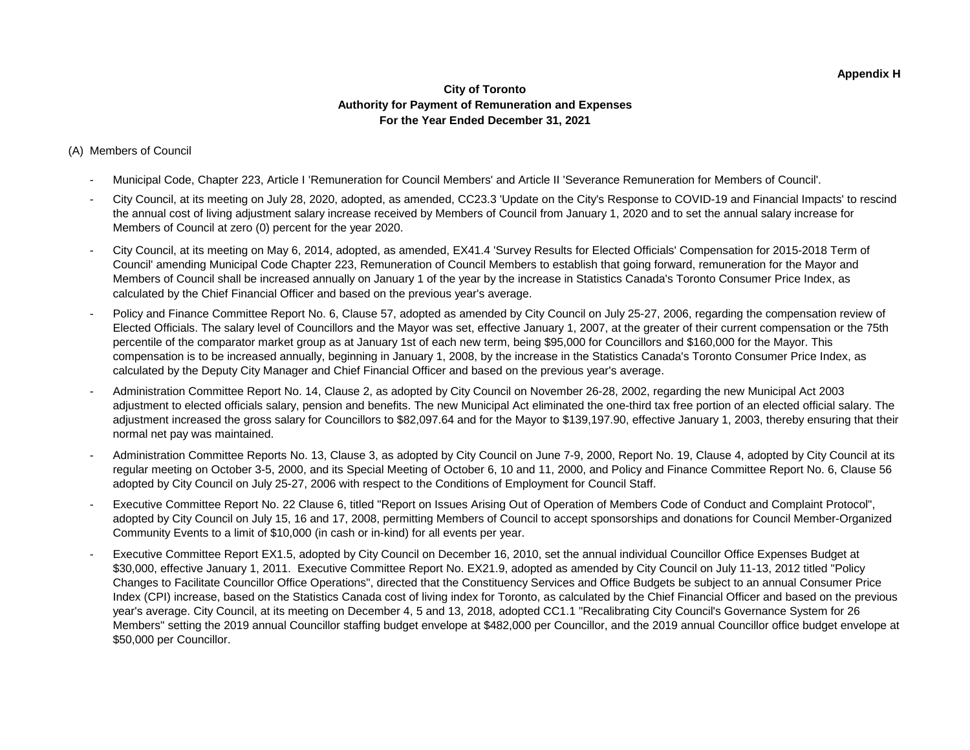### **City of Toronto Authority for Payment of Remuneration and Expenses For the Year Ended December 31, 2021**

### (A) Members of Council

- Municipal Code, Chapter 223, Article I 'Remuneration for Council Members' and Article II 'Severance Remuneration for Members of Council'.
- City Council, at its meeting on July 28, 2020, adopted, as amended, CC23.3 'Update on the City's Response to COVID-19 and Financial Impacts' to rescind the annual cost of living adjustment salary increase received by Members of Council from January 1, 2020 and to set the annual salary increase for Members of Council at zero (0) percent for the year 2020.
- City Council, at its meeting on May 6, 2014, adopted, as amended, EX41.4 'Survey Results for Elected Officials' Compensation for 2015-2018 Term of Council' amending Municipal Code Chapter 223, Remuneration of Council Members to establish that going forward, remuneration for the Mayor and Members of Council shall be increased annually on January 1 of the year by the increase in Statistics Canada's Toronto Consumer Price Index, as calculated by the Chief Financial Officer and based on the previous year's average.
- Policy and Finance Committee Report No. 6, Clause 57, adopted as amended by City Council on July 25-27, 2006, regarding the compensation review of Elected Officials. The salary level of Councillors and the Mayor was set, effective January 1, 2007, at the greater of their current compensation or the 75th percentile of the comparator market group as at January 1st of each new term, being \$95,000 for Councillors and \$160,000 for the Mayor. This compensation is to be increased annually, beginning in January 1, 2008, by the increase in the Statistics Canada's Toronto Consumer Price Index, as calculated by the Deputy City Manager and Chief Financial Officer and based on the previous year's average.
- Administration Committee Report No. 14, Clause 2, as adopted by City Council on November 26-28, 2002, regarding the new Municipal Act 2003 adjustment to elected officials salary, pension and benefits. The new Municipal Act eliminated the one-third tax free portion of an elected official salary. The adjustment increased the gross salary for Councillors to \$82,097.64 and for the Mayor to \$139,197.90, effective January 1, 2003, thereby ensuring that their normal net pay was maintained.
- Administration Committee Reports No. 13, Clause 3, as adopted by City Council on June 7-9, 2000, Report No. 19, Clause 4, adopted by City Council at its regular meeting on October 3-5, 2000, and its Special Meeting of October 6, 10 and 11, 2000, and Policy and Finance Committee Report No. 6, Clause 56 adopted by City Council on July 25-27, 2006 with respect to the Conditions of Employment for Council Staff.
- Executive Committee Report No. 22 Clause 6, titled "Report on Issues Arising Out of Operation of Members Code of Conduct and Complaint Protocol", adopted by City Council on July 15, 16 and 17, 2008, permitting Members of Council to accept sponsorships and donations for Council Member-Organized Community Events to a limit of \$10,000 (in cash or in-kind) for all events per year.
- Executive Committee Report EX1.5, adopted by City Council on December 16, 2010, set the annual individual Councillor Office Expenses Budget at \$30,000, effective January 1, 2011. Executive Committee Report No. EX21.9, adopted as amended by City Council on July 11-13, 2012 titled "Policy Changes to Facilitate Councillor Office Operations", directed that the Constituency Services and Office Budgets be subject to an annual Consumer Price Index (CPI) increase, based on the Statistics Canada cost of living index for Toronto, as calculated by the Chief Financial Officer and based on the previous year's average. City Council, at its meeting on December 4, 5 and 13, 2018, adopted CC1.1 "Recalibrating City Council's Governance System for 26 Members" setting the 2019 annual Councillor staffing budget envelope at \$482,000 per Councillor, and the 2019 annual Councillor office budget envelope at \$50,000 per Councillor.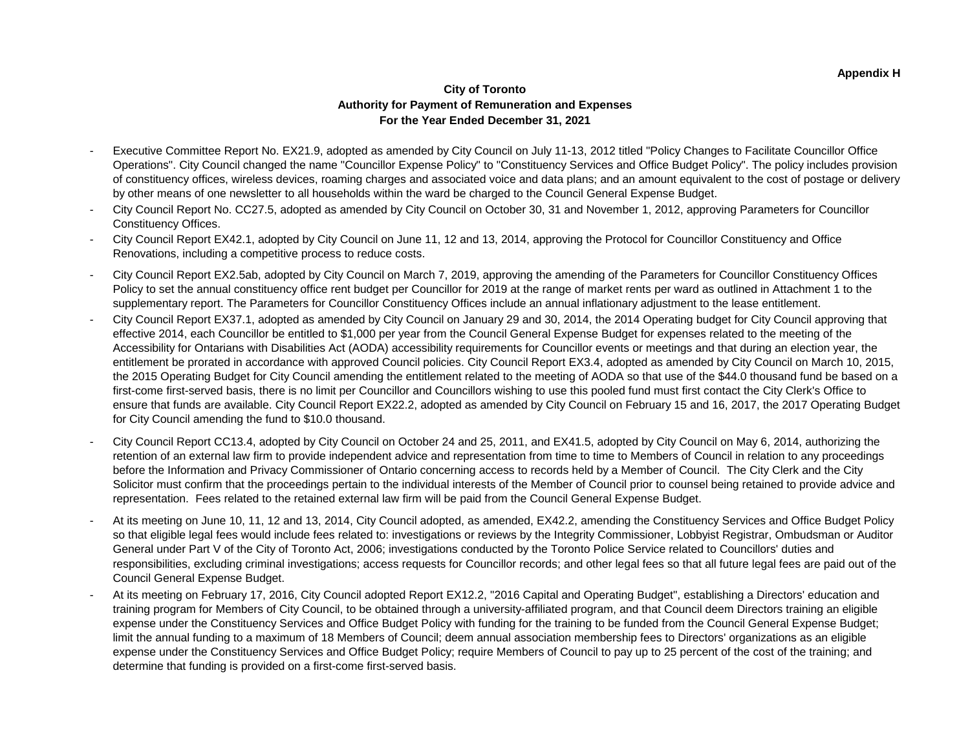### **City of Toronto Authority for Payment of Remuneration and Expenses For the Year Ended December 31, 2021**

- Executive Committee Report No. EX21.9, adopted as amended by City Council on July 11-13, 2012 titled "Policy Changes to Facilitate Councillor Office Operations". City Council changed the name "Councillor Expense Policy" to "Constituency Services and Office Budget Policy". The policy includes provision of constituency offices, wireless devices, roaming charges and associated voice and data plans; and an amount equivalent to the cost of postage or delivery by other means of one newsletter to all households within the ward be charged to the Council General Expense Budget.
- City Council Report No. CC27.5, adopted as amended by City Council on October 30, 31 and November 1, 2012, approving Parameters for Councillor Constituency Offices.
- City Council Report EX42.1, adopted by City Council on June 11, 12 and 13, 2014, approving the Protocol for Councillor Constituency and Office Renovations, including a competitive process to reduce costs.
- City Council Report EX2.5ab, adopted by City Council on March 7, 2019, approving the amending of the Parameters for Councillor Constituency Offices Policy to set the annual constituency office rent budget per Councillor for 2019 at the range of market rents per ward as outlined in Attachment 1 to the supplementary report. The Parameters for Councillor Constituency Offices include an annual inflationary adjustment to the lease entitlement.
- City Council Report EX37.1, adopted as amended by City Council on January 29 and 30, 2014, the 2014 Operating budget for City Council approving that effective 2014, each Councillor be entitled to \$1,000 per year from the Council General Expense Budget for expenses related to the meeting of the Accessibility for Ontarians with Disabilities Act (AODA) accessibility requirements for Councillor events or meetings and that during an election year, the entitlement be prorated in accordance with approved Council policies. City Council Report EX3.4, adopted as amended by City Council on March 10, 2015, the 2015 Operating Budget for City Council amending the entitlement related to the meeting of AODA so that use of the \$44.0 thousand fund be based on a first-come first-served basis, there is no limit per Councillor and Councillors wishing to use this pooled fund must first contact the City Clerk's Office to ensure that funds are available. City Council Report EX22.2, adopted as amended by City Council on February 15 and 16, 2017, the 2017 Operating Budget for City Council amending the fund to \$10.0 thousand.
- City Council Report CC13.4, adopted by City Council on October 24 and 25, 2011, and EX41.5, adopted by City Council on May 6, 2014, authorizing the retention of an external law firm to provide independent advice and representation from time to time to Members of Council in relation to any proceedings before the Information and Privacy Commissioner of Ontario concerning access to records held by a Member of Council. The City Clerk and the City Solicitor must confirm that the proceedings pertain to the individual interests of the Member of Council prior to counsel being retained to provide advice and representation. Fees related to the retained external law firm will be paid from the Council General Expense Budget.
- At its meeting on June 10, 11, 12 and 13, 2014, City Council adopted, as amended, EX42.2, amending the Constituency Services and Office Budget Policy so that eligible legal fees would include fees related to: investigations or reviews by the Integrity Commissioner, Lobbyist Registrar, Ombudsman or Auditor General under Part V of the City of Toronto Act, 2006; investigations conducted by the Toronto Police Service related to Councillors' duties and responsibilities, excluding criminal investigations; access requests for Councillor records; and other legal fees so that all future legal fees are paid out of the Council General Expense Budget.
- At its meeting on February 17, 2016, City Council adopted Report EX12.2, "2016 Capital and Operating Budget", establishing a Directors' education and training program for Members of City Council, to be obtained through a university-affiliated program, and that Council deem Directors training an eligible expense under the Constituency Services and Office Budget Policy with funding for the training to be funded from the Council General Expense Budget; limit the annual funding to a maximum of 18 Members of Council; deem annual association membership fees to Directors' organizations as an eligible expense under the Constituency Services and Office Budget Policy; require Members of Council to pay up to 25 percent of the cost of the training; and determine that funding is provided on a first-come first-served basis.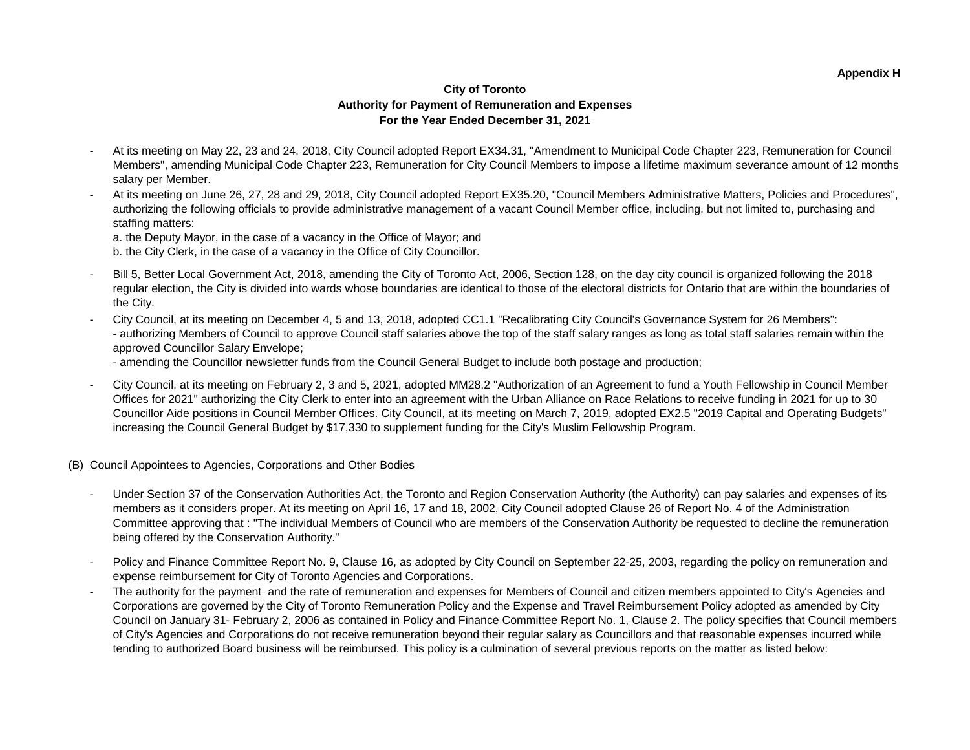#### **Appendix H**

### **City of Toronto Authority for Payment of Remuneration and Expenses For the Year Ended December 31, 2021**

- At its meeting on May 22, 23 and 24, 2018, City Council adopted Report EX34.31, "Amendment to Municipal Code Chapter 223, Remuneration for Council Members", amending Municipal Code Chapter 223, Remuneration for City Council Members to impose a lifetime maximum severance amount of 12 months salary per Member.
- At its meeting on June 26, 27, 28 and 29, 2018, City Council adopted Report EX35.20, "Council Members Administrative Matters, Policies and Procedures", authorizing the following officials to provide administrative management of a vacant Council Member office, including, but not limited to, purchasing and staffing matters:
	- a. the Deputy Mayor, in the case of a vacancy in the Office of Mayor; and b. the City Clerk, in the case of a vacancy in the Office of City Councillor.
- Bill 5, Better Local Government Act, 2018, amending the City of Toronto Act, 2006, Section 128, on the day city council is organized following the 2018 regular election, the City is divided into wards whose boundaries are identical to those of the electoral districts for Ontario that are within the boundaries of the City.
- City Council, at its meeting on December 4, 5 and 13, 2018, adopted CC1.1 "Recalibrating City Council's Governance System for 26 Members": - authorizing Members of Council to approve Council staff salaries above the top of the staff salary ranges as long as total staff salaries remain within the approved Councillor Salary Envelope;
	- amending the Councillor newsletter funds from the Council General Budget to include both postage and production;
- City Council, at its meeting on February 2, 3 and 5, 2021, adopted MM28.2 "Authorization of an Agreement to fund a Youth Fellowship in Council Member Offices for 2021" authorizing the City Clerk to enter into an agreement with the Urban Alliance on Race Relations to receive funding in 2021 for up to 30 Councillor Aide positions in Council Member Offices. City Council, at its meeting on March 7, 2019, adopted EX2.5 "2019 Capital and Operating Budgets" increasing the Council General Budget by \$17,330 to supplement funding for the City's Muslim Fellowship Program.
- (B) Council Appointees to Agencies, Corporations and Other Bodies
	- Under Section 37 of the Conservation Authorities Act, the Toronto and Region Conservation Authority (the Authority) can pay salaries and expenses of its members as it considers proper. At its meeting on April 16, 17 and 18, 2002, City Council adopted Clause 26 of Report No. 4 of the Administration Committee approving that : "The individual Members of Council who are members of the Conservation Authority be requested to decline the remuneration being offered by the Conservation Authority."
	- Policy and Finance Committee Report No. 9, Clause 16, as adopted by City Council on September 22-25, 2003, regarding the policy on remuneration and expense reimbursement for City of Toronto Agencies and Corporations.
	- The authority for the payment and the rate of remuneration and expenses for Members of Council and citizen members appointed to City's Agencies and Corporations are governed by the City of Toronto Remuneration Policy and the Expense and Travel Reimbursement Policy adopted as amended by City Council on January 31- February 2, 2006 as contained in Policy and Finance Committee Report No. 1, Clause 2. The policy specifies that Council members of City's Agencies and Corporations do not receive remuneration beyond their regular salary as Councillors and that reasonable expenses incurred while tending to authorized Board business will be reimbursed. This policy is a culmination of several previous reports on the matter as listed below: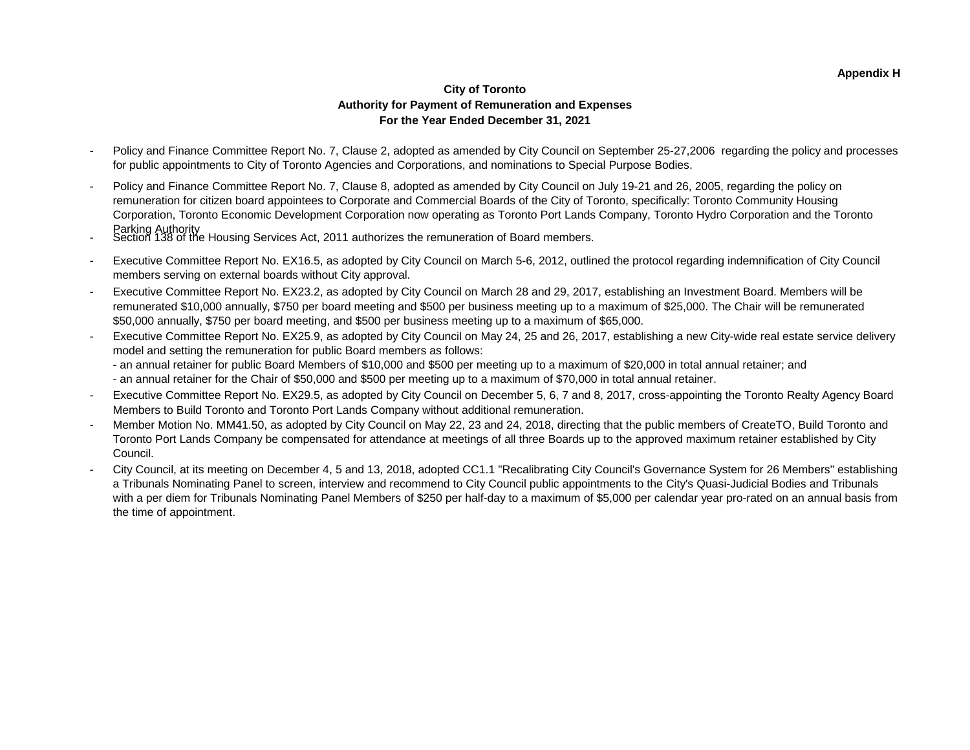### **City of Toronto Authority for Payment of Remuneration and Expenses For the Year Ended December 31, 2021**

- Policy and Finance Committee Report No. 7, Clause 2, adopted as amended by City Council on September 25-27,2006 regarding the policy and processes for public appointments to City of Toronto Agencies and Corporations, and nominations to Special Purpose Bodies.
- Policy and Finance Committee Report No. 7, Clause 8, adopted as amended by City Council on July 19-21 and 26, 2005, regarding the policy on remuneration for citizen board appointees to Corporate and Commercial Boards of the City of Toronto, specifically: Toronto Community Housing Corporation, Toronto Economic Development Corporation now operating as Toronto Port Lands Company, Toronto Hydro Corporation and the Toronto
- Parking Authority<br>Section 138 of the Housing Services Act, 2011 authorizes the remuneration of Board members.
- Executive Committee Report No. EX16.5, as adopted by City Council on March 5-6, 2012, outlined the protocol regarding indemnification of City Council members serving on external boards without City approval.
- Executive Committee Report No. EX23.2, as adopted by City Council on March 28 and 29, 2017, establishing an Investment Board. Members will be remunerated \$10,000 annually, \$750 per board meeting and \$500 per business meeting up to a maximum of \$25,000. The Chair will be remunerated \$50,000 annually, \$750 per board meeting, and \$500 per business meeting up to a maximum of \$65,000.
- Executive Committee Report No. EX25.9, as adopted by City Council on May 24, 25 and 26, 2017, establishing a new City-wide real estate service delivery model and setting the remuneration for public Board members as follows:
	- an annual retainer for public Board Members of \$10,000 and \$500 per meeting up to a maximum of \$20,000 in total annual retainer; and - an annual retainer for the Chair of \$50,000 and \$500 per meeting up to a maximum of \$70,000 in total annual retainer.
- Executive Committee Report No. EX29.5, as adopted by City Council on December 5, 6, 7 and 8, 2017, cross-appointing the Toronto Realty Agency Board Members to Build Toronto and Toronto Port Lands Company without additional remuneration.
- Member Motion No. MM41.50, as adopted by City Council on May 22, 23 and 24, 2018, directing that the public members of CreateTO, Build Toronto and Toronto Port Lands Company be compensated for attendance at meetings of all three Boards up to the approved maximum retainer established by City Council.
- City Council, at its meeting on December 4, 5 and 13, 2018, adopted CC1.1 "Recalibrating City Council's Governance System for 26 Members" establishing a Tribunals Nominating Panel to screen, interview and recommend to City Council public appointments to the City's Quasi-Judicial Bodies and Tribunals with a per diem for Tribunals Nominating Panel Members of \$250 per half-day to a maximum of \$5,000 per calendar year pro-rated on an annual basis from the time of appointment.